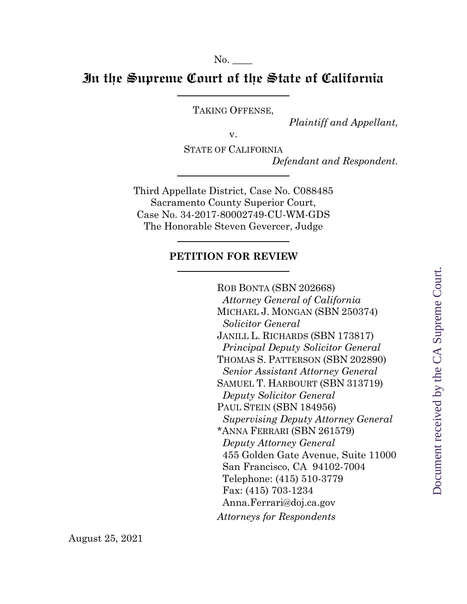No.

## **In the Supreme Court of the State of California**

TAKING OFFENSE,

*Plaintiff and Appellant,*

v.

STATE OF CALIFORNIA *Defendant and Respondent.*

Third Appellate District, Case No. C088485 Sacramento County Superior Court, Case No. 34-2017-80002749-CU-WM-GDS The Honorable Steven Gevercer, Judge

#### **PETITION FOR REVIEW**

ROB BONTA (SBN 202668) *Attorney General of California* MICHAEL J. MONGAN (SBN 250374) *Solicitor General* JANILL L. RICHARDS (SBN 173817) *Principal Deputy Solicitor General* THOMAS S. PATTERSON (SBN 202890) *Senior Assistant Attorney General* SAMUEL T. HARBOURT (SBN 313719) *Deputy Solicitor General* PAUL STEIN (SBN 184956) *Supervising Deputy Attorney General* \*ANNA FERRARI (SBN 261579) *Deputy Attorney General* 455 Golden Gate Avenue, Suite 11000 San Francisco, CA 94102-7004 Telephone: (415) 510-3779 Fax: (415) 703-1234 Anna.Ferrari@doj.ca.gov *Attorneys for Respondents*

August 25, 2021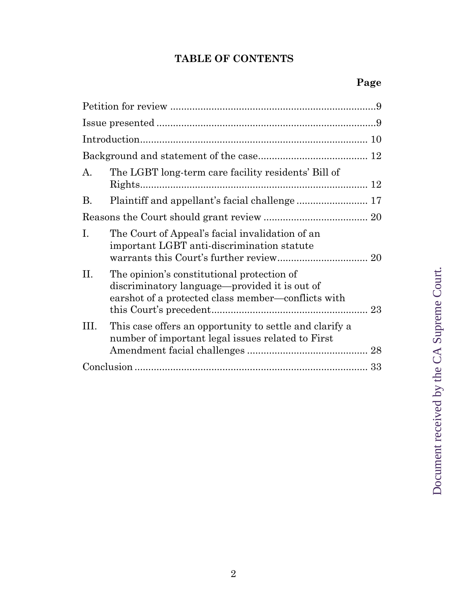# **TABLE OF CONTENTS**

| A.        | The LGBT long-term care facility residents' Bill of                                                                                               |    |
|-----------|---------------------------------------------------------------------------------------------------------------------------------------------------|----|
| <b>B.</b> |                                                                                                                                                   |    |
|           |                                                                                                                                                   |    |
| Ι.        | The Court of Appeal's facial invalidation of an<br>important LGBT anti-discrimination statute                                                     | 20 |
| П.        | The opinion's constitutional protection of<br>discriminatory language—provided it is out of<br>earshot of a protected class member—conflicts with |    |
| III.      | This case offers an opportunity to settle and clarify a<br>number of important legal issues related to First                                      |    |
|           |                                                                                                                                                   | 33 |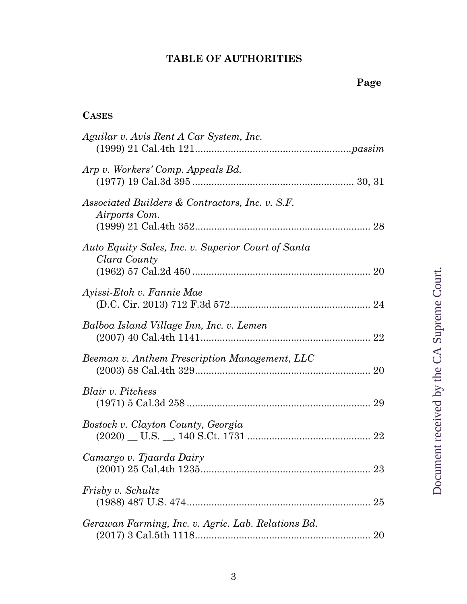# **TABLE OF AUTHORITIES**

# **CASES**

| Aguilar v. Avis Rent A Car System, Inc.                            |
|--------------------------------------------------------------------|
| Arp v. Workers' Comp. Appeals Bd.                                  |
| Associated Builders & Contractors, Inc. v. S.F.<br>Airports Com.   |
| Auto Equity Sales, Inc. v. Superior Court of Santa<br>Clara County |
| Ayissi-Etoh v. Fannie Mae                                          |
| Balboa Island Village Inn, Inc. v. Lemen                           |
| Beeman v. Anthem Prescription Management, LLC                      |
| <i>Blair v. Pitchess</i>                                           |
| Bostock v. Clayton County, Georgia                                 |
| Camargo v. Tjaarda Dairy                                           |
| Frisby v. Schultz<br>25                                            |
| Gerawan Farming, Inc. v. Agric. Lab. Relations Bd.<br>20           |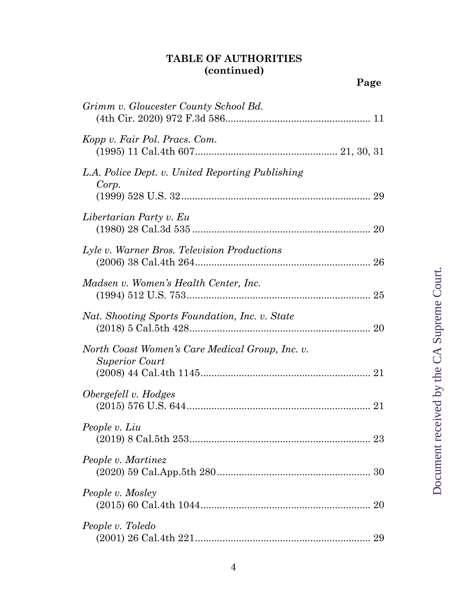#### **TABLE OF AUTHORITIES (continued)**

| Grimm v. Gloucester County School Bd.                                    |
|--------------------------------------------------------------------------|
| Kopp v. Fair Pol. Pracs. Com.                                            |
| L.A. Police Dept. v. United Reporting Publishing<br>Corp.                |
| Libertarian Party v. Eu                                                  |
| Lyle v. Warner Bros. Television Productions                              |
| Madsen v. Women's Health Center, Inc.                                    |
| Nat. Shooting Sports Foundation, Inc. v. State                           |
| North Coast Women's Care Medical Group, Inc. v.<br><b>Superior Court</b> |
| Obergefell v. Hodges                                                     |
| People v. Liu                                                            |
| People v. Martinez                                                       |
| People v. Mosley                                                         |
| People v. Toledo                                                         |

**Page**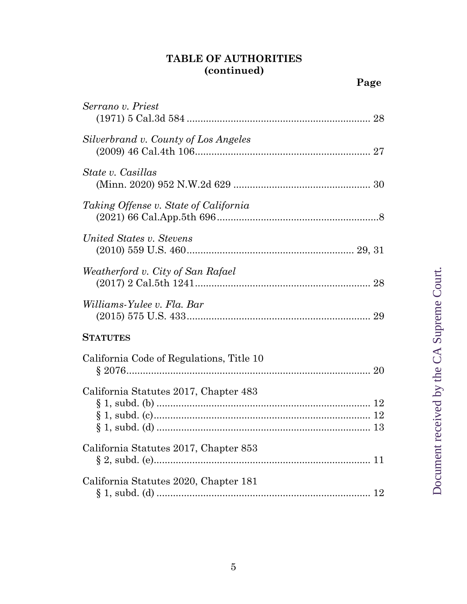#### **TABLE OF AUTHORITIES (continued)**

(1971) 5 Cal.3d 584 ................................................................... 28

*Serrano v. Priest*

| Silverbrand v. County of Los Angeles     |
|------------------------------------------|
| State v. Casillas                        |
| Taking Offense v. State of California    |
| United States v. Stevens                 |
| Weatherford v. City of San Rafael        |
| Williams-Yulee v. Fla. Bar               |
| <b>STATUTES</b>                          |
| California Code of Regulations, Title 10 |
| California Statutes 2017, Chapter 483    |
| California Statutes 2017, Chapter 853    |
| California Statutes 2020, Chapter 181    |

**Page**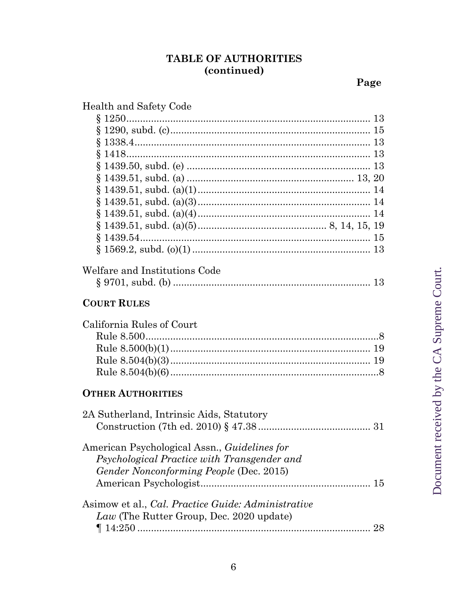# TABLE OF AUTHORITIES<br>(continued)

Page

| Health and Safety Code                              |  |  |  |
|-----------------------------------------------------|--|--|--|
|                                                     |  |  |  |
|                                                     |  |  |  |
|                                                     |  |  |  |
|                                                     |  |  |  |
|                                                     |  |  |  |
|                                                     |  |  |  |
|                                                     |  |  |  |
|                                                     |  |  |  |
|                                                     |  |  |  |
|                                                     |  |  |  |
|                                                     |  |  |  |
|                                                     |  |  |  |
|                                                     |  |  |  |
| Welfare and Institutions Code                       |  |  |  |
|                                                     |  |  |  |
| <b>COURT RULES</b>                                  |  |  |  |
| California Rules of Court                           |  |  |  |
|                                                     |  |  |  |
|                                                     |  |  |  |
|                                                     |  |  |  |
|                                                     |  |  |  |
|                                                     |  |  |  |
| <b>OTHER AUTHORITIES</b>                            |  |  |  |
| 2A Sutherland, Intrinsic Aids, Statutory            |  |  |  |
|                                                     |  |  |  |
| American Psychological Assn., <i>Guidelines for</i> |  |  |  |
| Psychological Practice with Transgender and         |  |  |  |
| Gender Nonconforming People (Dec. 2015)             |  |  |  |
|                                                     |  |  |  |
|                                                     |  |  |  |
|                                                     |  |  |  |
| Asimow et al., Cal. Practice Guide: Administrative  |  |  |  |
| Law (The Rutter Group, Dec. 2020 update)            |  |  |  |
|                                                     |  |  |  |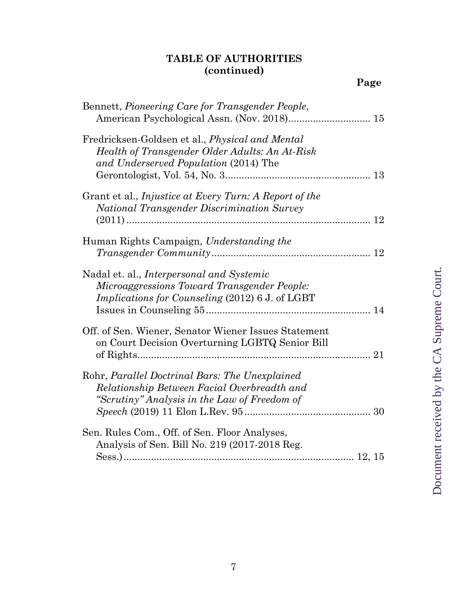#### **TABLE OF AUTHORITIES (continued)**

| Bennett, Pioneering Care for Transgender People,                                                                                                          |    |
|-----------------------------------------------------------------------------------------------------------------------------------------------------------|----|
| Fredricksen-Goldsen et al., <i>Physical and Mental</i><br>Health of Transgender Older Adults: An At-Risk<br>and Underserved Population (2014) The         |    |
| Grant et al., <i>Injustice at Every Turn: A Report of the</i><br>National Transgender Discrimination Survey                                               |    |
|                                                                                                                                                           | 12 |
| Human Rights Campaign, Understanding the                                                                                                                  |    |
| Nadal et. al., <i>Interpersonal and Systemic</i><br>Microaggressions Toward Transgender People:<br><i>Implications for Counseling (2012) 6 J. of LGBT</i> |    |
| Off. of Sen. Wiener, Senator Wiener Issues Statement<br>on Court Decision Overturning LGBTQ Senior Bill                                                   |    |
| Rohr, Parallel Doctrinal Bars: The Unexplained<br>Relationship Between Facial Overbreadth and<br>"Scrutiny" Analysis in the Law of Freedom of             | 30 |
| Sen. Rules Com., Off. of Sen. Floor Analyses,<br>Analysis of Sen. Bill No. 219 (2017-2018 Reg.                                                            |    |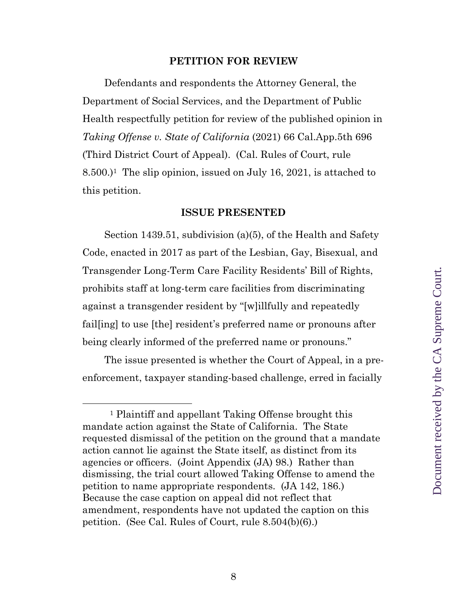#### **PETITION FOR REVIEW**

Defendants and respondents the Attorney General, the Department of Social Services, and the Department of Public Health respectfully petition for review of the published opinion in *Taking Offense v. State of California* (2021) 66 Cal.App.5th 696 (Third District Court of Appeal). (Cal. Rules of Court, rule  $8.500$ .)<sup>1</sup> The slip opinion, issued on July 16, 2021, is attached to this petition.

#### **ISSUE PRESENTED**

Section 1439.51, subdivision (a)(5), of the Health and Safety Code, enacted in 2017 as part of the Lesbian, Gay, Bisexual, and Transgender Long-Term Care Facility Residents' Bill of Rights, prohibits staff at long-term care facilities from discriminating against a transgender resident by "[w]illfully and repeatedly fail[ing] to use [the] resident's preferred name or pronouns after being clearly informed of the preferred name or pronouns."

The issue presented is whether the Court of Appeal, in a preenforcement, taxpayer standing-based challenge, erred in facially

<sup>1</sup> Plaintiff and appellant Taking Offense brought this mandate action against the State of California. The State requested dismissal of the petition on the ground that a mandate action cannot lie against the State itself, as distinct from its agencies or officers. (Joint Appendix (JA) 98.) Rather than dismissing, the trial court allowed Taking Offense to amend the petition to name appropriate respondents. (JA 142, 186.) Because the case caption on appeal did not reflect that amendment, respondents have not updated the caption on this petition. (See Cal. Rules of Court, rule 8.504(b)(6).)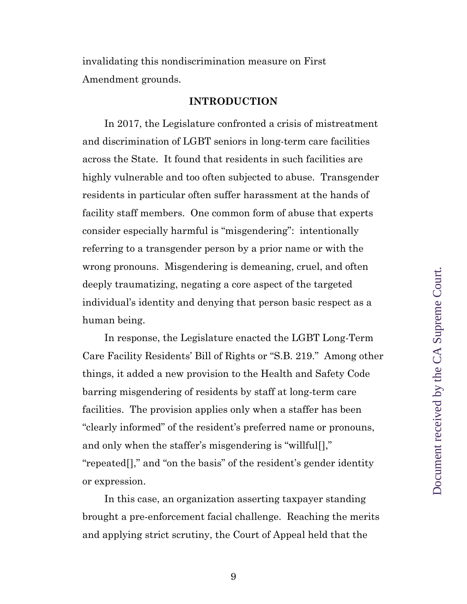invalidating this nondiscrimination measure on First Amendment grounds.

#### **INTRODUCTION**

In 2017, the Legislature confronted a crisis of mistreatment and discrimination of LGBT seniors in long-term care facilities across the State. It found that residents in such facilities are highly vulnerable and too often subjected to abuse. Transgender residents in particular often suffer harassment at the hands of facility staff members. One common form of abuse that experts consider especially harmful is "misgendering": intentionally referring to a transgender person by a prior name or with the wrong pronouns. Misgendering is demeaning, cruel, and often deeply traumatizing, negating a core aspect of the targeted individual's identity and denying that person basic respect as a human being.

In response, the Legislature enacted the LGBT Long-Term Care Facility Residents' Bill of Rights or "S.B. 219." Among other things, it added a new provision to the Health and Safety Code barring misgendering of residents by staff at long-term care facilities. The provision applies only when a staffer has been "clearly informed" of the resident's preferred name or pronouns, and only when the staffer's misgendering is "willful[]," "repeated[]," and "on the basis" of the resident's gender identity or expression.

In this case, an organization asserting taxpayer standing brought a pre-enforcement facial challenge. Reaching the merits and applying strict scrutiny, the Court of Appeal held that the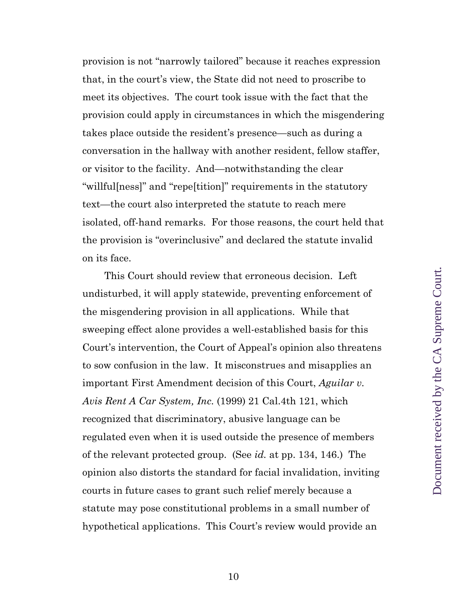provision is not "narrowly tailored" because it reaches expression that, in the court's view, the State did not need to proscribe to meet its objectives. The court took issue with the fact that the provision could apply in circumstances in which the misgendering takes place outside the resident's presence—such as during a conversation in the hallway with another resident, fellow staffer, or visitor to the facility. And—notwithstanding the clear "willful[ness]" and "repe[tition]" requirements in the statutory text—the court also interpreted the statute to reach mere isolated, off-hand remarks. For those reasons, the court held that the provision is "overinclusive" and declared the statute invalid on its face.

This Court should review that erroneous decision. Left undisturbed, it will apply statewide, preventing enforcement of the misgendering provision in all applications. While that sweeping effect alone provides a well-established basis for this Court's intervention, the Court of Appeal's opinion also threatens to sow confusion in the law. It misconstrues and misapplies an important First Amendment decision of this Court, *Aguilar v. Avis Rent A Car System, Inc.* (1999) 21 Cal.4th 121, which recognized that discriminatory, abusive language can be regulated even when it is used outside the presence of members of the relevant protected group. (See *id.* at pp. 134, 146.) The opinion also distorts the standard for facial invalidation, inviting courts in future cases to grant such relief merely because a statute may pose constitutional problems in a small number of hypothetical applications. This Court's review would provide an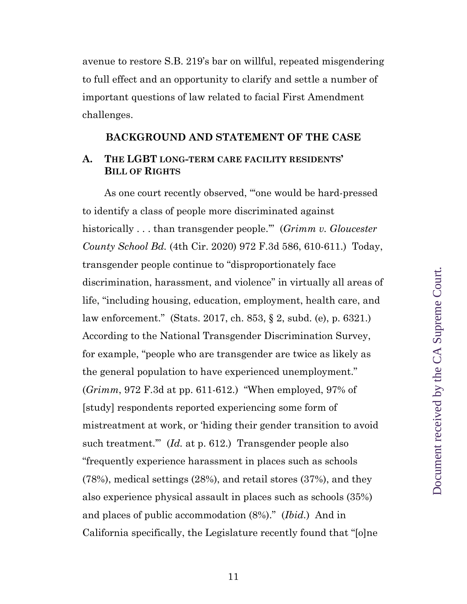avenue to restore S.B. 219's bar on willful, repeated misgendering to full effect and an opportunity to clarify and settle a number of important questions of law related to facial First Amendment challenges.

#### **BACKGROUND AND STATEMENT OF THE CASE**

#### **A. THE LGBT LONG-TERM CARE FACILITY RESIDENTS' BILL OF RIGHTS**

As one court recently observed, "'one would be hard-pressed to identify a class of people more discriminated against historically . . . than transgender people.'" (*Grimm v. Gloucester County School Bd.* (4th Cir. 2020) 972 F.3d 586, 610-611.) Today, transgender people continue to "disproportionately face discrimination, harassment, and violence" in virtually all areas of life, "including housing, education, employment, health care, and law enforcement." (Stats. 2017, ch. 853, § 2, subd. (e), p. 6321.) According to the National Transgender Discrimination Survey, for example, "people who are transgender are twice as likely as the general population to have experienced unemployment." (*Grimm*, 972 F.3d at pp. 611-612.) "When employed, 97% of [study] respondents reported experiencing some form of mistreatment at work, or 'hiding their gender transition to avoid such treatment." (*Id.* at p. 612.) Transgender people also "frequently experience harassment in places such as schools (78%), medical settings (28%), and retail stores (37%), and they also experience physical assault in places such as schools (35%) and places of public accommodation (8%)." (*Ibid.*) And in California specifically, the Legislature recently found that "[o]ne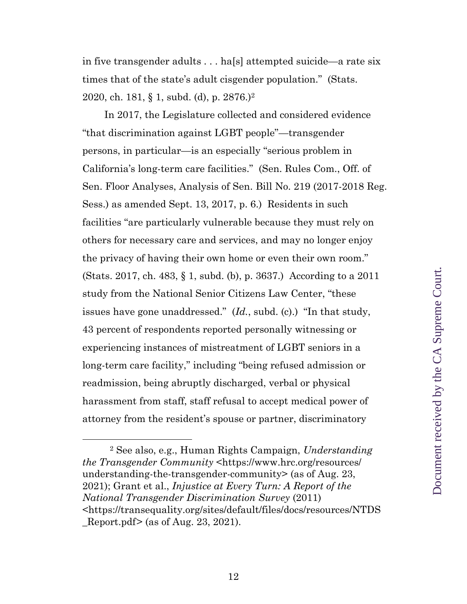in five transgender adults . . . ha[s] attempted suicide—a rate six times that of the state's adult cisgender population." (Stats. 2020, ch. 181, § 1, subd. (d), p. 2876.)<sup>2</sup>

In 2017, the Legislature collected and considered evidence "that discrimination against LGBT people"—transgender persons, in particular—is an especially "serious problem in California's long-term care facilities." (Sen. Rules Com., Off. of Sen. Floor Analyses, Analysis of Sen. Bill No. 219 (2017-2018 Reg. Sess.) as amended Sept. 13, 2017, p. 6.) Residents in such facilities "are particularly vulnerable because they must rely on others for necessary care and services, and may no longer enjoy the privacy of having their own home or even their own room." (Stats. 2017, ch. 483, § 1, subd. (b), p. 3637.) According to a 2011 study from the National Senior Citizens Law Center, "these issues have gone unaddressed." (*Id.*, subd. (c).) "In that study, 43 percent of respondents reported personally witnessing or experiencing instances of mistreatment of LGBT seniors in a long-term care facility," including "being refused admission or readmission, being abruptly discharged, verbal or physical harassment from staff, staff refusal to accept medical power of attorney from the resident's spouse or partner, discriminatory

<sup>2</sup> See also, e.g., Human Rights Campaign, *Understanding the Transgender Community* <https://www.hrc.org/resources/ understanding-the-transgender-community> (as of Aug. 23, 2021); Grant et al., *Injustice at Every Turn: A Report of the National Transgender Discrimination Survey* (2011) <https://transequality.org/sites/default/files/docs/resources/NTDS  $\text{Report.pdf}$  (as of Aug. 23, 2021).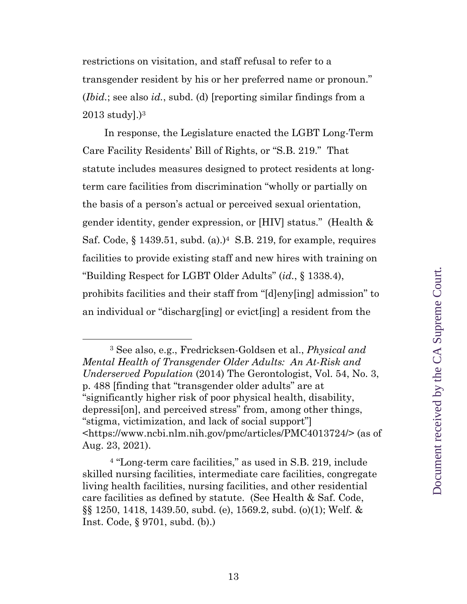restrictions on visitation, and staff refusal to refer to a transgender resident by his or her preferred name or pronoun." (*Ibid.*; see also *id.*, subd. (d) [reporting similar findings from a  $2013$  study].) $3$ 

In response, the Legislature enacted the LGBT Long-Term Care Facility Residents' Bill of Rights, or "S.B. 219." That statute includes measures designed to protect residents at longterm care facilities from discrimination "wholly or partially on the basis of a person's actual or perceived sexual orientation, gender identity, gender expression, or [HIV] status." (Health & Saf. Code,  $\S 1439.51$ , subd. (a).)<sup>4</sup> S.B. 219, for example, requires facilities to provide existing staff and new hires with training on "Building Respect for LGBT Older Adults" (*id.*, § 1338.4), prohibits facilities and their staff from "[d]eny[ing] admission" to an individual or "discharg[ing] or evict[ing] a resident from the

<sup>3</sup> See also, e.g., Fredricksen-Goldsen et al., *Physical and Mental Health of Transgender Older Adults: An At-Risk and Underserved Population* (2014) The Gerontologist, Vol. 54, No. 3, p. 488 [finding that "transgender older adults" are at "significantly higher risk of poor physical health, disability, depressi[on], and perceived stress" from, among other things, "stigma, victimization, and lack of social support"] <https://www.ncbi.nlm.nih.gov/pmc/articles/PMC4013724/> (as of Aug. 23, 2021).

<sup>4</sup> "Long-term care facilities," as used in S.B. 219, include skilled nursing facilities, intermediate care facilities, congregate living health facilities, nursing facilities, and other residential care facilities as defined by statute. (See Health & Saf. Code, §§ 1250, 1418, 1439.50, subd. (e), 1569.2, subd. (o)(1); Welf. & Inst. Code, § 9701, subd. (b).)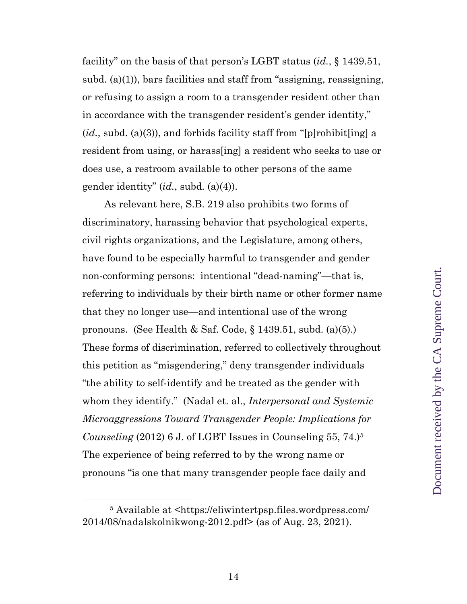facility" on the basis of that person's LGBT status (*id.*, § 1439.51, subd. (a)(1)), bars facilities and staff from "assigning, reassigning, or refusing to assign a room to a transgender resident other than in accordance with the transgender resident's gender identity," (*id.*, subd. (a)(3)), and forbids facility staff from "[p]rohibit[ing] a resident from using, or harass[ing] a resident who seeks to use or does use, a restroom available to other persons of the same gender identity" (*id.*, subd. (a)(4)).

As relevant here, S.B. 219 also prohibits two forms of discriminatory, harassing behavior that psychological experts, civil rights organizations, and the Legislature, among others, have found to be especially harmful to transgender and gender non-conforming persons: intentional "dead-naming"—that is, referring to individuals by their birth name or other former name that they no longer use—and intentional use of the wrong pronouns. (See Health & Saf. Code,  $\S$  1439.51, subd. (a)(5).) These forms of discrimination, referred to collectively throughout this petition as "misgendering," deny transgender individuals "the ability to self-identify and be treated as the gender with whom they identify." (Nadal et. al., *Interpersonal and Systemic Microaggressions Toward Transgender People: Implications for Counseling* (2012) 6 J. of LGBT Issues in Counseling 55, 74.)<sup>5</sup> The experience of being referred to by the wrong name or pronouns "is one that many transgender people face daily and

<sup>5</sup> Available at <https://eliwintertpsp.files.wordpress.com/ 2014/08/nadalskolnikwong-2012.pdf> (as of Aug. 23, 2021).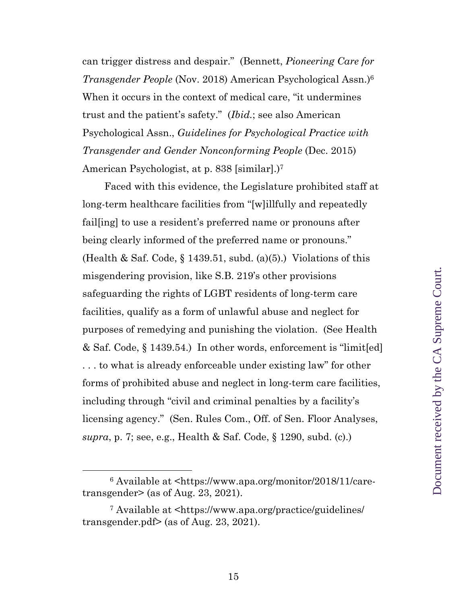can trigger distress and despair." (Bennett, *Pioneering Care for Transgender People* (Nov. 2018) American Psychological Assn.)<sup>6</sup> When it occurs in the context of medical care, "it undermines trust and the patient's safety." (*Ibid.*; see also American Psychological Assn., *Guidelines for Psychological Practice with Transgender and Gender Nonconforming People* (Dec. 2015) American Psychologist, at p. 838 [similar].)<sup>7</sup>

Faced with this evidence, the Legislature prohibited staff at long-term healthcare facilities from "[w]illfully and repeatedly fail[ing] to use a resident's preferred name or pronouns after being clearly informed of the preferred name or pronouns." (Health & Saf. Code,  $\S$  1439.51, subd. (a)(5).) Violations of this misgendering provision, like S.B. 219's other provisions safeguarding the rights of LGBT residents of long-term care facilities, qualify as a form of unlawful abuse and neglect for purposes of remedying and punishing the violation. (See Health & Saf. Code, § 1439.54.) In other words, enforcement is "limit[ed] . . . to what is already enforceable under existing law" for other forms of prohibited abuse and neglect in long-term care facilities, including through "civil and criminal penalties by a facility's licensing agency." (Sen. Rules Com., Off. of Sen. Floor Analyses, *supra*, p. 7; see, e.g., Health & Saf. Code, § 1290, subd. (c).)

<sup>6</sup> Available at <https://www.apa.org/monitor/2018/11/caretransgender> (as of Aug. 23, 2021).

<sup>7</sup> Available at <https://www.apa.org/practice/guidelines/ transgender.pdf> (as of Aug. 23, 2021).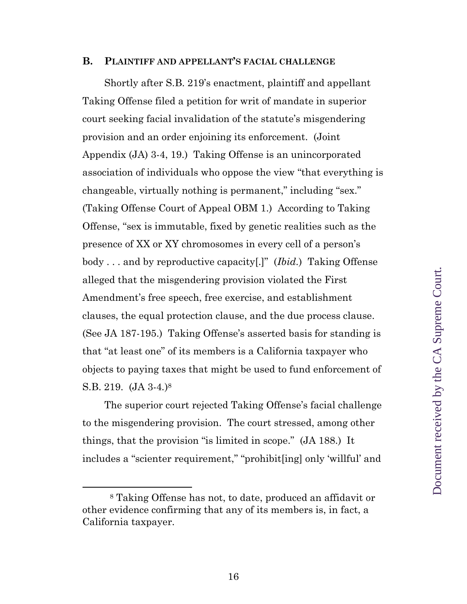#### **B. PLAINTIFF AND APPELLANT'S FACIAL CHALLENGE**

Shortly after S.B. 219's enactment, plaintiff and appellant Taking Offense filed a petition for writ of mandate in superior court seeking facial invalidation of the statute's misgendering provision and an order enjoining its enforcement. (Joint Appendix (JA) 3-4, 19.) Taking Offense is an unincorporated association of individuals who oppose the view "that everything is changeable, virtually nothing is permanent," including "sex." (Taking Offense Court of Appeal OBM 1.) According to Taking Offense, "sex is immutable, fixed by genetic realities such as the presence of XX or XY chromosomes in every cell of a person's body . . . and by reproductive capacity[.]" (*Ibid.*) Taking Offense alleged that the misgendering provision violated the First Amendment's free speech, free exercise, and establishment clauses, the equal protection clause, and the due process clause. (See JA 187-195.) Taking Offense's asserted basis for standing is that "at least one" of its members is a California taxpayer who objects to paying taxes that might be used to fund enforcement of S.B. 219. (JA 3-4*.*) 8

The superior court rejected Taking Offense's facial challenge to the misgendering provision. The court stressed, among other things, that the provision "is limited in scope." (JA 188.) It includes a "scienter requirement," "prohibit[ing] only 'willful' and

<sup>8</sup> Taking Offense has not, to date, produced an affidavit or other evidence confirming that any of its members is, in fact, a California taxpayer.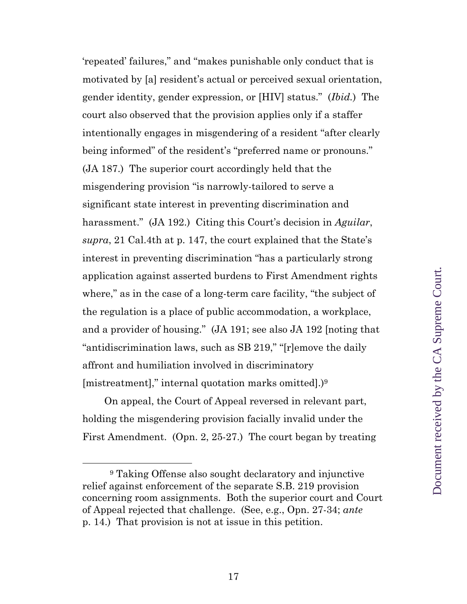'repeated' failures," and "makes punishable only conduct that is motivated by [a] resident's actual or perceived sexual orientation, gender identity, gender expression, or [HIV] status." (*Ibid.*) The court also observed that the provision applies only if a staffer intentionally engages in misgendering of a resident "after clearly being informed" of the resident's "preferred name or pronouns." (JA 187.) The superior court accordingly held that the misgendering provision "is narrowly-tailored to serve a significant state interest in preventing discrimination and harassment." (JA 192.) Citing this Court's decision in *Aguilar*, *supra*, 21 Cal.4th at p. 147, the court explained that the State's interest in preventing discrimination "has a particularly strong application against asserted burdens to First Amendment rights where," as in the case of a long-term care facility, "the subject of the regulation is a place of public accommodation, a workplace, and a provider of housing." (JA 191; see also JA 192 [noting that "antidiscrimination laws, such as SB 219," "[r]emove the daily affront and humiliation involved in discriminatory [mistreatment]," internal quotation marks omitted].)<sup>9</sup>

On appeal, the Court of Appeal reversed in relevant part, holding the misgendering provision facially invalid under the First Amendment. (Opn. 2, 25-27.) The court began by treating

<sup>9</sup> Taking Offense also sought declaratory and injunctive relief against enforcement of the separate S.B. 219 provision concerning room assignments. Both the superior court and Court of Appeal rejected that challenge. (See, e.g., Opn. 27-34; *ante* p. 14.) That provision is not at issue in this petition.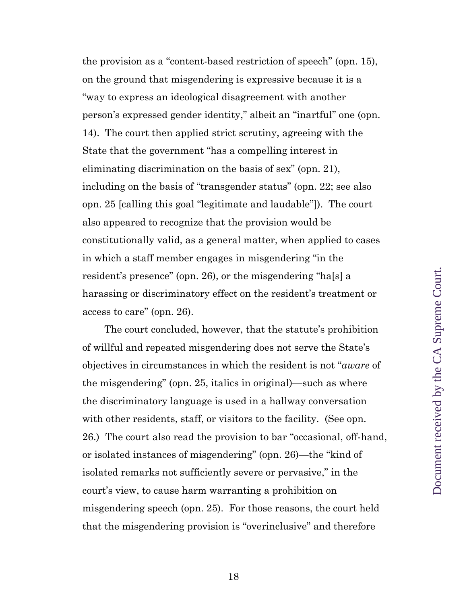the provision as a "content-based restriction of speech" (opn. 15), on the ground that misgendering is expressive because it is a "way to express an ideological disagreement with another person's expressed gender identity," albeit an "inartful" one (opn. 14). The court then applied strict scrutiny, agreeing with the State that the government "has a compelling interest in eliminating discrimination on the basis of sex" (opn. 21), including on the basis of "transgender status" (opn. 22; see also opn. 25 [calling this goal "legitimate and laudable"]). The court also appeared to recognize that the provision would be constitutionally valid, as a general matter, when applied to cases in which a staff member engages in misgendering "in the resident's presence" (opn. 26), or the misgendering "ha[s] a harassing or discriminatory effect on the resident's treatment or access to care" (opn. 26).

The court concluded, however, that the statute's prohibition of willful and repeated misgendering does not serve the State's objectives in circumstances in which the resident is not "*aware* of the misgendering" (opn. 25, italics in original)—such as where the discriminatory language is used in a hallway conversation with other residents, staff, or visitors to the facility. (See opn. 26.) The court also read the provision to bar "occasional, off-hand, or isolated instances of misgendering" (opn. 26)—the "kind of isolated remarks not sufficiently severe or pervasive," in the court's view, to cause harm warranting a prohibition on misgendering speech (opn. 25). For those reasons, the court held that the misgendering provision is "overinclusive" and therefore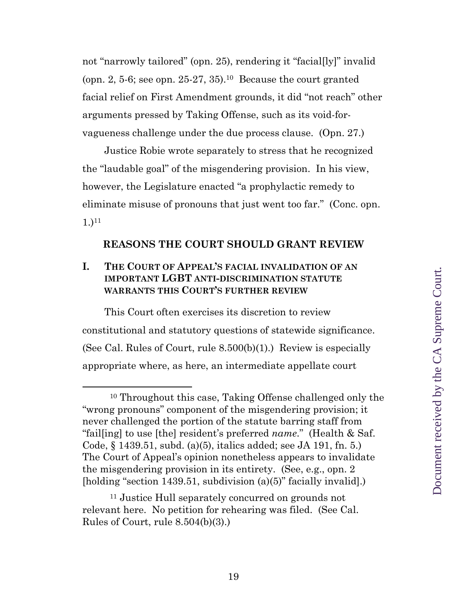not "narrowly tailored" (opn. 25), rendering it "facial[ly]" invalid (opn. 2, 5-6; see opn. 25-27, 35).<sup>10</sup> Because the court granted facial relief on First Amendment grounds, it did "not reach" other arguments pressed by Taking Offense, such as its void-forvagueness challenge under the due process clause. (Opn. 27.)

Justice Robie wrote separately to stress that he recognized the "laudable goal" of the misgendering provision. In his view, however, the Legislature enacted "a prophylactic remedy to eliminate misuse of pronouns that just went too far." (Conc. opn. 1.)<sup>11</sup>

#### **REASONS THE COURT SHOULD GRANT REVIEW**

#### **I. THE COURT OF APPEAL'S FACIAL INVALIDATION OF AN IMPORTANT LGBT ANTI-DISCRIMINATION STATUTE WARRANTS THIS COURT'S FURTHER REVIEW**

This Court often exercises its discretion to review constitutional and statutory questions of statewide significance. (See Cal. Rules of Court, rule  $8.500(b)(1)$ .) Review is especially appropriate where, as here, an intermediate appellate court

<sup>10</sup> Throughout this case, Taking Offense challenged only the "wrong pronouns" component of the misgendering provision; it never challenged the portion of the statute barring staff from "fail[ing] to use [the] resident's preferred *name*." (Health & Saf. Code, § 1439.51, subd. (a)(5), italics added; see JA 191, fn. 5.) The Court of Appeal's opinion nonetheless appears to invalidate the misgendering provision in its entirety. (See, e.g., opn. 2 [holding "section 1439.51, subdivision (a)(5)" facially invalid].)

<sup>11</sup> Justice Hull separately concurred on grounds not relevant here. No petition for rehearing was filed. (See Cal. Rules of Court, rule 8.504(b)(3).)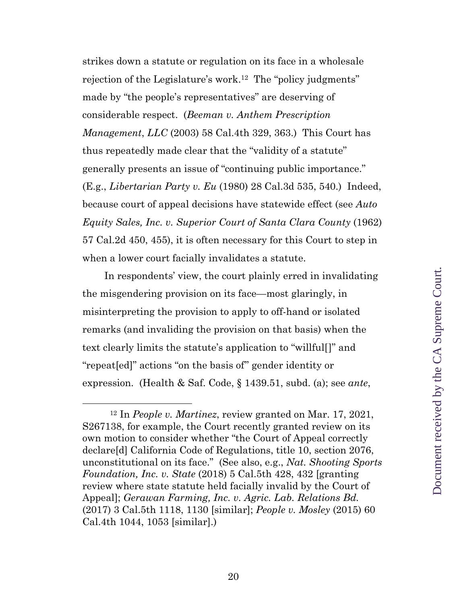strikes down a statute or regulation on its face in a wholesale rejection of the Legislature's work. <sup>12</sup> The "policy judgments" made by "the people's representatives" are deserving of considerable respect. (*Beeman v. Anthem Prescription Management*, *LLC* (2003) 58 Cal.4th 329, 363.) This Court has thus repeatedly made clear that the "validity of a statute" generally presents an issue of "continuing public importance." (E.g., *Libertarian Party v. Eu* (1980) 28 Cal.3d 535, 540.) Indeed, because court of appeal decisions have statewide effect (see *Auto Equity Sales, Inc. v. Superior Court of Santa Clara County* (1962) 57 Cal.2d 450, 455), it is often necessary for this Court to step in when a lower court facially invalidates a statute.

In respondents' view, the court plainly erred in invalidating the misgendering provision on its face—most glaringly, in misinterpreting the provision to apply to off-hand or isolated remarks (and invaliding the provision on that basis) when the text clearly limits the statute's application to "willful[]" and "repeat[ed]" actions "on the basis of" gender identity or expression. (Health & Saf. Code, § 1439.51, subd. (a); see *ante*,

<sup>12</sup> In *People v. Martinez*, review granted on Mar. 17, 2021, S267138, for example, the Court recently granted review on its own motion to consider whether "the Court of Appeal correctly declare[d] California Code of Regulations, title 10, section 2076, unconstitutional on its face." (See also, e.g., *Nat. Shooting Sports Foundation, Inc. v. State* (2018) 5 Cal.5th 428, 432 [granting review where state statute held facially invalid by the Court of Appeal]; *Gerawan Farming, Inc. v. Agric. Lab. Relations Bd.* (2017) 3 Cal.5th 1118, 1130 [similar]; *People v. Mosley* (2015) 60 Cal.4th 1044, 1053 [similar].)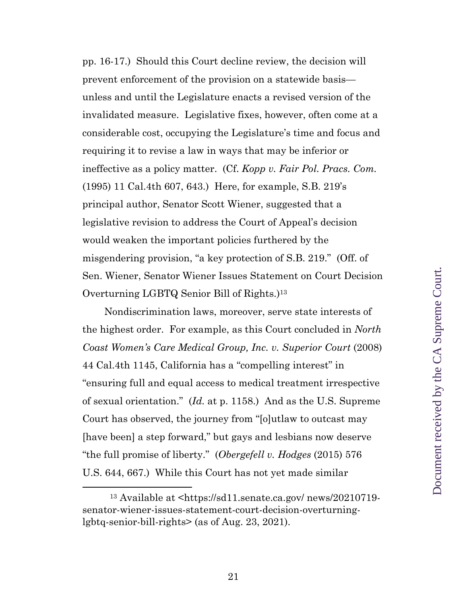pp. 16-17.) Should this Court decline review, the decision will prevent enforcement of the provision on a statewide basis unless and until the Legislature enacts a revised version of the invalidated measure. Legislative fixes, however, often come at a considerable cost, occupying the Legislature's time and focus and requiring it to revise a law in ways that may be inferior or ineffective as a policy matter. (Cf. *Kopp v. Fair Pol. Pracs. Com.* (1995) 11 Cal.4th 607, 643.) Here, for example, S.B. 219's principal author, Senator Scott Wiener, suggested that a legislative revision to address the Court of Appeal's decision would weaken the important policies furthered by the misgendering provision, "a key protection of S.B. 219." (Off. of Sen. Wiener, Senator Wiener Issues Statement on Court Decision Overturning LGBTQ Senior Bill of Rights.)<sup>13</sup>

Nondiscrimination laws, moreover, serve state interests of the highest order. For example, as this Court concluded in *North Coast Women's Care Medical Group, Inc. v. Superior Court* (2008) 44 Cal.4th 1145, California has a "compelling interest" in "ensuring full and equal access to medical treatment irrespective of sexual orientation." (*Id.* at p. 1158.) And as the U.S. Supreme Court has observed, the journey from "[o]utlaw to outcast may [have been] a step forward," but gays and lesbians now deserve "the full promise of liberty." (*Obergefell v. Hodges* (2015) 576 U.S. 644, 667.) While this Court has not yet made similar

<sup>13</sup> Available at <https://sd11.senate.ca.gov/ news/20210719 senator-wiener-issues-statement-court-decision-overturninglgbtq-senior-bill-rights> (as of Aug. 23, 2021).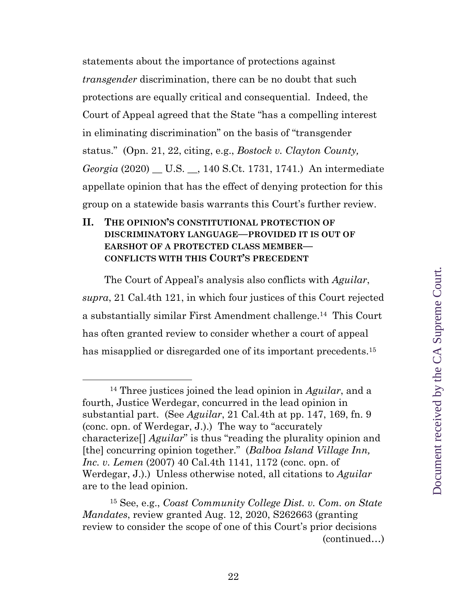statements about the importance of protections against *transgender* discrimination, there can be no doubt that such protections are equally critical and consequential. Indeed, the Court of Appeal agreed that the State "has a compelling interest in eliminating discrimination" on the basis of "transgender status." (Opn. 21, 22, citing, e.g., *Bostock v. Clayton County, Georgia* (2020) \_\_ U.S. \_\_, 140 S.Ct. 1731, 1741.) An intermediate appellate opinion that has the effect of denying protection for this group on a statewide basis warrants this Court's further review.

#### **II. THE OPINION'S CONSTITUTIONAL PROTECTION OF DISCRIMINATORY LANGUAGE—PROVIDED IT IS OUT OF EARSHOT OF A PROTECTED CLASS MEMBER— CONFLICTS WITH THIS COURT'S PRECEDENT**

The Court of Appeal's analysis also conflicts with *Aguilar*, *supra*, 21 Cal.4th 121, in which four justices of this Court rejected a substantially similar First Amendment challenge. <sup>14</sup> This Court has often granted review to consider whether a court of appeal has misapplied or disregarded one of its important precedents.<sup>15</sup>

<sup>14</sup> Three justices joined the lead opinion in *Aguilar*, and a fourth, Justice Werdegar, concurred in the lead opinion in substantial part. (See *Aguilar*, 21 Cal.4th at pp. 147, 169, fn. 9 (conc. opn. of Werdegar, J.).) The way to "accurately characterize[] *Aguilar*" is thus "reading the plurality opinion and [the] concurring opinion together." (*Balboa Island Village Inn, Inc. v. Lemen* (2007) 40 Cal.4th 1141, 1172 (conc. opn. of Werdegar, J.).) Unless otherwise noted, all citations to *Aguilar* are to the lead opinion.

<sup>15</sup> See, e.g., *Coast Community College Dist. v. Com. on State Mandates*, review granted Aug. 12, 2020, S262663 (granting review to consider the scope of one of this Court's prior decisions (continued…)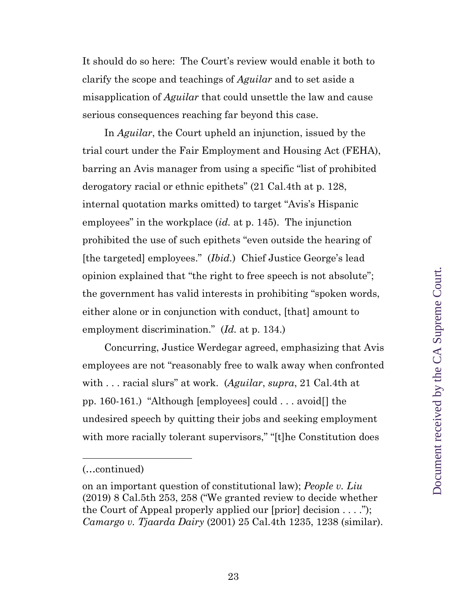It should do so here: The Court's review would enable it both to clarify the scope and teachings of *Aguilar* and to set aside a misapplication of *Aguilar* that could unsettle the law and cause serious consequences reaching far beyond this case.

In *Aguilar*, the Court upheld an injunction, issued by the trial court under the Fair Employment and Housing Act (FEHA), barring an Avis manager from using a specific "list of prohibited derogatory racial or ethnic epithets" (21 Cal.4th at p. 128, internal quotation marks omitted) to target "Avis's Hispanic employees" in the workplace (*id.* at p. 145). The injunction prohibited the use of such epithets "even outside the hearing of [the targeted] employees." (*Ibid.*) Chief Justice George's lead opinion explained that "the right to free speech is not absolute"; the government has valid interests in prohibiting "spoken words, either alone or in conjunction with conduct, [that] amount to employment discrimination." (*Id.* at p. 134.)

Concurring, Justice Werdegar agreed, emphasizing that Avis employees are not "reasonably free to walk away when confronted with . . . racial slurs" at work. (*Aguilar*, *supra*, 21 Cal.4th at pp. 160-161.) "Although [employees] could . . . avoid[] the undesired speech by quitting their jobs and seeking employment with more racially tolerant supervisors," "[t]he Constitution does

<sup>(…</sup>continued)

on an important question of constitutional law); *People v. Liu*  (2019) 8 Cal.5th 253, 258 ("We granted review to decide whether the Court of Appeal properly applied our [prior] decision . . . ."); *Camargo v. Tjaarda Dairy* (2001) 25 Cal.4th 1235, 1238 (similar).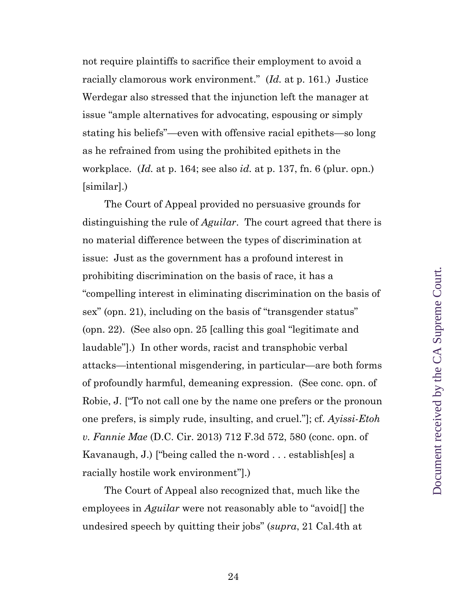not require plaintiffs to sacrifice their employment to avoid a racially clamorous work environment." (*Id.* at p. 161.) Justice Werdegar also stressed that the injunction left the manager at issue "ample alternatives for advocating, espousing or simply stating his beliefs"—even with offensive racial epithets—so long as he refrained from using the prohibited epithets in the workplace. (*Id.* at p. 164; see also *id.* at p. 137, fn. 6 (plur. opn.) [similar].)

The Court of Appeal provided no persuasive grounds for distinguishing the rule of *Aguilar*. The court agreed that there is no material difference between the types of discrimination at issue: Just as the government has a profound interest in prohibiting discrimination on the basis of race, it has a "compelling interest in eliminating discrimination on the basis of sex" (opn. 21), including on the basis of "transgender status" (opn. 22). (See also opn. 25 [calling this goal "legitimate and laudable"].) In other words, racist and transphobic verbal attacks—intentional misgendering, in particular—are both forms of profoundly harmful, demeaning expression. (See conc. opn. of Robie, J. ["To not call one by the name one prefers or the pronoun one prefers, is simply rude, insulting, and cruel."]; cf. *Ayissi-Etoh v. Fannie Mae* (D.C. Cir. 2013) 712 F.3d 572, 580 (conc. opn. of Kavanaugh, J.) ["being called the n-word . . . establish[es] a racially hostile work environment"].)

The Court of Appeal also recognized that, much like the employees in *Aguilar* were not reasonably able to "avoid[] the undesired speech by quitting their jobs" (*supra*, 21 Cal.4th at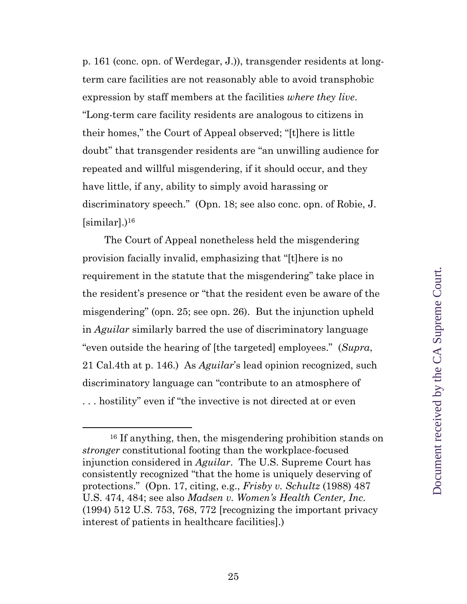p. 161 (conc. opn. of Werdegar, J.)), transgender residents at longterm care facilities are not reasonably able to avoid transphobic expression by staff members at the facilities *where they live*. "Long-term care facility residents are analogous to citizens in their homes," the Court of Appeal observed; "[t]here is little doubt" that transgender residents are "an unwilling audience for repeated and willful misgendering, if it should occur, and they have little, if any, ability to simply avoid harassing or discriminatory speech." (Opn. 18; see also conc. opn. of Robie, J. [similar].) <sup>16</sup>

The Court of Appeal nonetheless held the misgendering provision facially invalid, emphasizing that "[t]here is no requirement in the statute that the misgendering" take place in the resident's presence or "that the resident even be aware of the misgendering" (opn. 25; see opn. 26). But the injunction upheld in *Aguilar* similarly barred the use of discriminatory language "even outside the hearing of [the targeted] employees." (*Supra*, 21 Cal.4th at p. 146.) As *Aguilar*'s lead opinion recognized, such discriminatory language can "contribute to an atmosphere of . . . hostility" even if "the invective is not directed at or even

<sup>16</sup> If anything, then, the misgendering prohibition stands on *stronger* constitutional footing than the workplace-focused injunction considered in *Aguilar*. The U.S. Supreme Court has consistently recognized "that the home is uniquely deserving of protections." (Opn. 17, citing, e.g., *Frisby v. Schultz* (1988) 487 U.S. 474, 484; see also *Madsen v. Women's Health Center, Inc.* (1994) 512 U.S. 753, 768, 772 [recognizing the important privacy interest of patients in healthcare facilities].)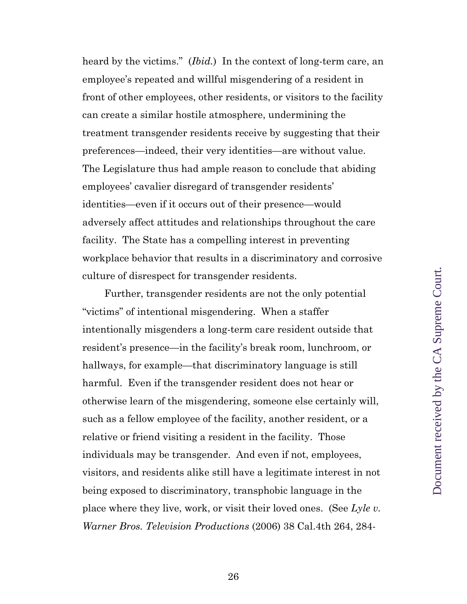heard by the victims." (*Ibid.*) In the context of long-term care, an employee's repeated and willful misgendering of a resident in front of other employees, other residents, or visitors to the facility can create a similar hostile atmosphere, undermining the treatment transgender residents receive by suggesting that their preferences—indeed, their very identities—are without value. The Legislature thus had ample reason to conclude that abiding employees' cavalier disregard of transgender residents' identities—even if it occurs out of their presence—would adversely affect attitudes and relationships throughout the care facility. The State has a compelling interest in preventing workplace behavior that results in a discriminatory and corrosive culture of disrespect for transgender residents.

Further, transgender residents are not the only potential "victims" of intentional misgendering. When a staffer intentionally misgenders a long-term care resident outside that resident's presence—in the facility's break room, lunchroom, or hallways, for example—that discriminatory language is still harmful. Even if the transgender resident does not hear or otherwise learn of the misgendering, someone else certainly will, such as a fellow employee of the facility, another resident, or a relative or friend visiting a resident in the facility. Those individuals may be transgender. And even if not, employees, visitors, and residents alike still have a legitimate interest in not being exposed to discriminatory, transphobic language in the place where they live, work, or visit their loved ones. (See *Lyle v. Warner Bros. Television Productions* (2006) 38 Cal.4th 264, 284-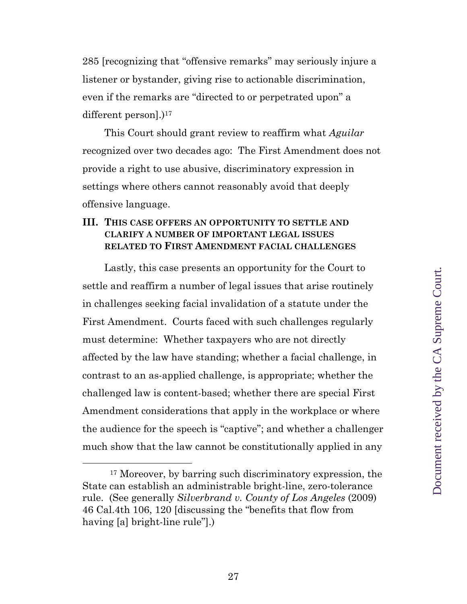285 [recognizing that "offensive remarks" may seriously injure a listener or bystander, giving rise to actionable discrimination, even if the remarks are "directed to or perpetrated upon" a different person].)<sup>17</sup>

This Court should grant review to reaffirm what *Aguilar* recognized over two decades ago: The First Amendment does not provide a right to use abusive, discriminatory expression in settings where others cannot reasonably avoid that deeply offensive language.

#### **III. THIS CASE OFFERS AN OPPORTUNITY TO SETTLE AND CLARIFY A NUMBER OF IMPORTANT LEGAL ISSUES RELATED TO FIRST AMENDMENT FACIAL CHALLENGES**

Lastly, this case presents an opportunity for the Court to settle and reaffirm a number of legal issues that arise routinely in challenges seeking facial invalidation of a statute under the First Amendment. Courts faced with such challenges regularly must determine: Whether taxpayers who are not directly affected by the law have standing; whether a facial challenge, in contrast to an as-applied challenge, is appropriate; whether the challenged law is content-based; whether there are special First Amendment considerations that apply in the workplace or where the audience for the speech is "captive"; and whether a challenger much show that the law cannot be constitutionally applied in any

<sup>17</sup> Moreover, by barring such discriminatory expression, the State can establish an administrable bright-line, zero-tolerance rule. (See generally *Silverbrand v. County of Los Angeles* (2009) 46 Cal.4th 106, 120 [discussing the "benefits that flow from having [a] bright-line rule"].)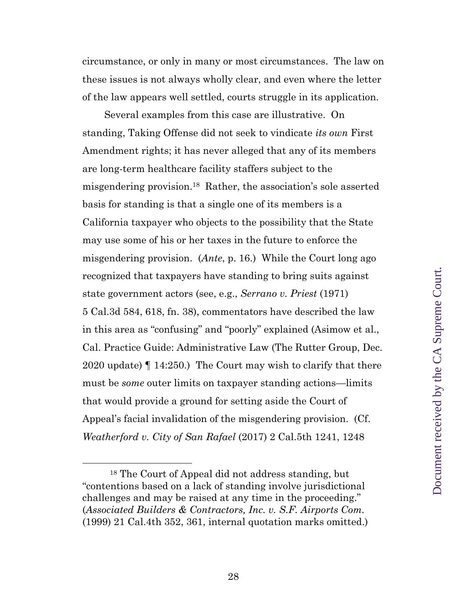circumstance, or only in many or most circumstances. The law on these issues is not always wholly clear, and even where the letter of the law appears well settled, courts struggle in its application.

Several examples from this case are illustrative. On standing, Taking Offense did not seek to vindicate *its own* First Amendment rights; it has never alleged that any of its members are long-term healthcare facility staffers subject to the misgendering provision.<sup>18</sup> Rather, the association's sole asserted basis for standing is that a single one of its members is a California taxpayer who objects to the possibility that the State may use some of his or her taxes in the future to enforce the misgendering provision. (*Ante*, p. 16.) While the Court long ago recognized that taxpayers have standing to bring suits against state government actors (see, e.g., *Serrano v. Priest* (1971) 5 Cal.3d 584, 618, fn. 38), commentators have described the law in this area as "confusing" and "poorly" explained (Asimow et al., Cal. Practice Guide: Administrative Law (The Rutter Group, Dec. 2020 update) ¶ 14:250.) The Court may wish to clarify that there must be *some* outer limits on taxpayer standing actions—limits that would provide a ground for setting aside the Court of Appeal's facial invalidation of the misgendering provision.(Cf. *Weatherford v. City of San Rafael* (2017) 2 Cal.5th 1241, 1248

<sup>18</sup> The Court of Appeal did not address standing, but "contentions based on a lack of standing involve jurisdictional challenges and may be raised at any time in the proceeding." (*Associated Builders & Contractors, Inc. v. S.F. Airports Com.* (1999) 21 Cal.4th 352, 361, internal quotation marks omitted.)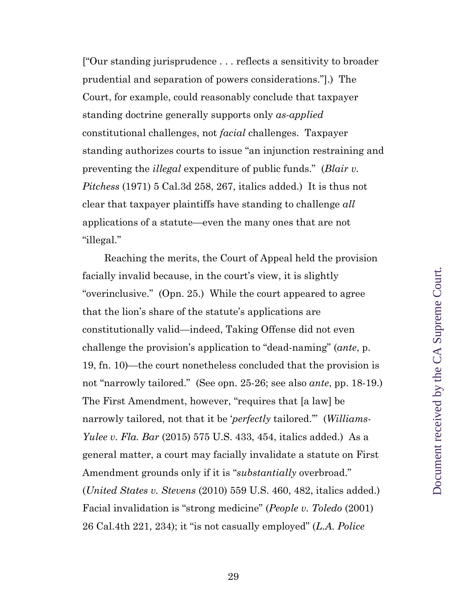["Our standing jurisprudence . . . reflects a sensitivity to broader prudential and separation of powers considerations."].) The Court, for example, could reasonably conclude that taxpayer standing doctrine generally supports only *as-applied* constitutional challenges, not *facial* challenges. Taxpayer standing authorizes courts to issue "an injunction restraining and preventing the *illegal* expenditure of public funds." (*Blair v. Pitchess* (1971) 5 Cal.3d 258, 267, italics added.) It is thus not clear that taxpayer plaintiffs have standing to challenge *all*  applications of a statute—even the many ones that are not "illegal."

Reaching the merits, the Court of Appeal held the provision facially invalid because, in the court's view, it is slightly "overinclusive." (Opn. 25.) While the court appeared to agree that the lion's share of the statute's applications are constitutionally valid—indeed, Taking Offense did not even challenge the provision's application to "dead-naming" (*ante*, p. 19, fn. 10)—the court nonetheless concluded that the provision is not "narrowly tailored." (See opn. 25-26; see also *ante*, pp. 18-19.) The First Amendment, however, "requires that [a law] be narrowly tailored, not that it be '*perfectly* tailored.'" (*Williams-Yulee v. Fla. Bar* (2015) 575 U.S. 433, 454, italics added.) As a general matter, a court may facially invalidate a statute on First Amendment grounds only if it is "*substantially* overbroad." (*United States v. Stevens* (2010) 559 U.S. 460, 482, italics added.) Facial invalidation is "strong medicine" (*People v. Toledo* (2001) 26 Cal.4th 221, 234); it "is not casually employed" (*L.A. Police*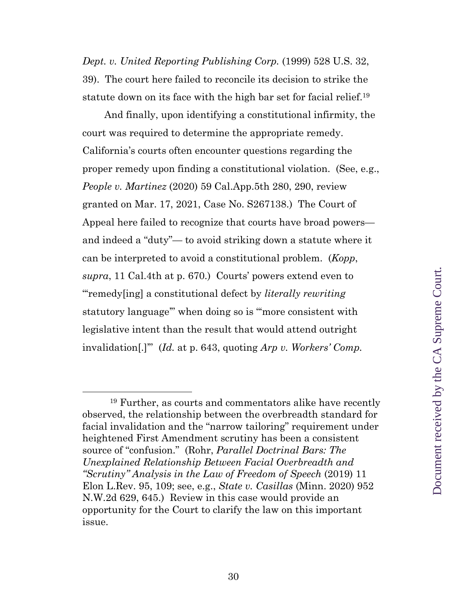*Dept. v. United Reporting Publishing Corp.* (1999) 528 U.S. 32, 39). The court here failed to reconcile its decision to strike the statute down on its face with the high bar set for facial relief.<sup>19</sup>

And finally, upon identifying a constitutional infirmity, the court was required to determine the appropriate remedy. California's courts often encounter questions regarding the proper remedy upon finding a constitutional violation. (See, e.g., *People v. Martinez* (2020) 59 Cal.App.5th 280, 290, review granted on Mar. 17, 2021, Case No. S267138.) The Court of Appeal here failed to recognize that courts have broad powers and indeed a "duty"— to avoid striking down a statute where it can be interpreted to avoid a constitutional problem. (*Kopp*, *supra*, 11 Cal.4th at p. 670.) Courts' powers extend even to "'remedy[ing] a constitutional defect by *literally rewriting*  statutory language'" when doing so is "'more consistent with legislative intent than the result that would attend outright invalidation[.]'" (*Id.* at p. 643, quoting *[Arp v. Workers' Comp.](https://1.next.westlaw.com/Link/Document/FullText?findType=Y&pubNum=0000233&cite=19CALIF3D395&originatingDoc=I9e6f5deafaba11d9bf60c1d57ebc853e&refType=RP&fi=co_pp_sp_233_407&originationContext=document&transitionType=DocumentItem&ppcid=9f6e42515f6a4172abfd6c50f0561c8c&contextData=(sc.UserEnteredCitation)#co_pp_sp_233_407)* 

<sup>19</sup> Further, as courts and commentators alike have recently observed, the relationship between the overbreadth standard for facial invalidation and the "narrow tailoring" requirement under heightened First Amendment scrutiny has been a consistent source of "confusion." (Rohr, *Parallel Doctrinal Bars: The Unexplained Relationship Between Facial Overbreadth and "Scrutiny" Analysis in the Law of Freedom of Speech* (2019) 11 Elon L.Rev. 95, 109; see, e.g., *State v. Casillas* (Minn. 2020) 952 N.W.2d 629, 645.) Review in this case would provide an opportunity for the Court to clarify the law on this important issue.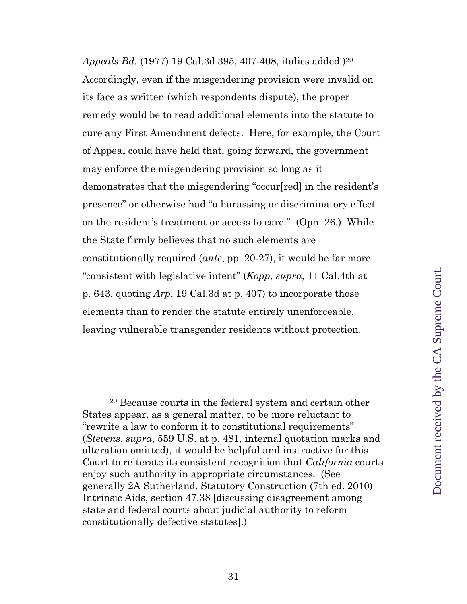*Appeals Bd.* [\(1977\) 19 Cal.3d 395,](https://1.next.westlaw.com/Link/Document/FullText?findType=Y&pubNum=0000233&cite=19CALIF3D395&originatingDoc=I9e6f5deafaba11d9bf60c1d57ebc853e&refType=RP&fi=co_pp_sp_233_407&originationContext=document&transitionType=DocumentItem&ppcid=9f6e42515f6a4172abfd6c50f0561c8c&contextData=(sc.UserEnteredCitation)#co_pp_sp_233_407) 407-408, italics added.)<sup>20</sup> Accordingly, even if the misgendering provision were invalid on its face as written (which respondents dispute), the proper remedy would be to read additional elements into the statute to cure any First Amendment defects. Here, for example, the Court of Appeal could have held that, going forward, the government may enforce the misgendering provision so long as it demonstrates that the misgendering "occur[red] in the resident's presence" or otherwise had "a harassing or discriminatory effect on the resident's treatment or access to care." (Opn. 26.) While the State firmly believes that no such elements are constitutionally required (*ante*, pp. 20-27), it would be far more "consistent with legislative intent" (*Kopp*, *supra*, 11 Cal.4th at p. 643, quoting *Arp*[, 19 Cal.3d at](https://1.next.westlaw.com/Link/Document/FullText?findType=Y&pubNum=0000233&cite=19CALIF3D395&originatingDoc=I9e6f5deafaba11d9bf60c1d57ebc853e&refType=RP&fi=co_pp_sp_233_407&originationContext=document&transitionType=DocumentItem&ppcid=9f6e42515f6a4172abfd6c50f0561c8c&contextData=(sc.UserEnteredCitation)#co_pp_sp_233_407) p. 407) to incorporate those elements than to render the statute entirely unenforceable, leaving vulnerable transgender residents without protection.

<sup>20</sup> Because courts in the federal system and certain other States appear, as a general matter, to be more reluctant to "rewrite a law to conform it to constitutional requirements" (*Stevens*, *supra*, 559 U.S. at p. 481, internal quotation marks and alteration omitted), it would be helpful and instructive for this Court to reiterate its consistent recognition that *California* courts enjoy such authority in appropriate circumstances. (See generally 2A Sutherland, Statutory Construction (7th ed. 2010) Intrinsic Aids, section 47.38 [discussing disagreement among state and federal courts about judicial authority to reform constitutionally defective statutes].)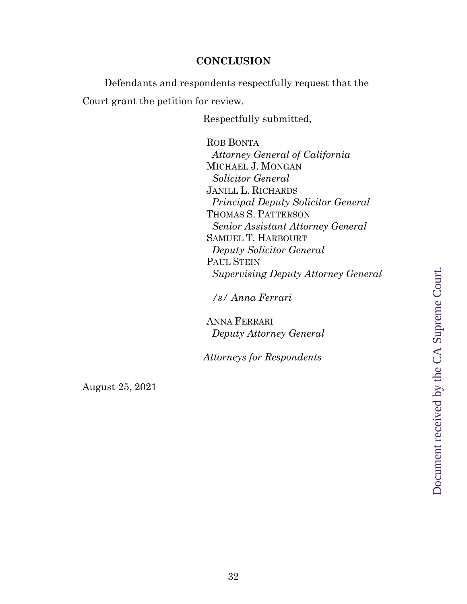#### **CONCLUSION**

Defendants and respondents respectfully request that the Court grant the petition for review.

Respectfully submitted,

ROB BONTA *Attorney General of California* MICHAEL J. MONGAN *Solicitor General* JANILL L. RICHARDS *Principal Deputy Solicitor General* THOMAS S. PATTERSON *Senior Assistant Attorney General* SAMUEL T. HARBOURT *Deputy Solicitor General* PAUL STEIN *Supervising Deputy Attorney General*

*/s/ Anna Ferrari*

ANNA FERRARI *Deputy Attorney General*

*Attorneys for Respondents*

August 25, 2021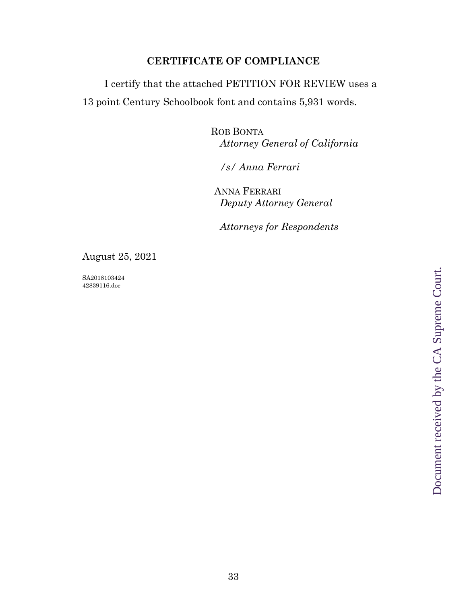## **CERTIFICATE OF COMPLIANCE**

I certify that the attached PETITION FOR REVIEW uses a 13 point Century Schoolbook font and contains 5,931 words.

> ROB BONTA *Attorney General of California*

*/s/ Anna Ferrari*

ANNA FERRARI *Deputy Attorney General*

*Attorneys for Respondents*

August 25, 2021

SA2018103424 42839116.doc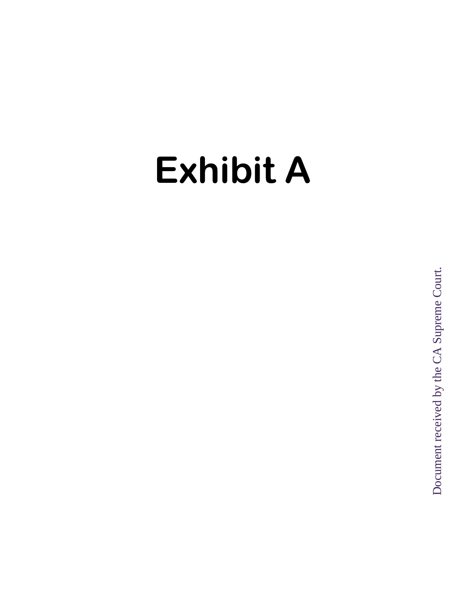# **Exhibit A**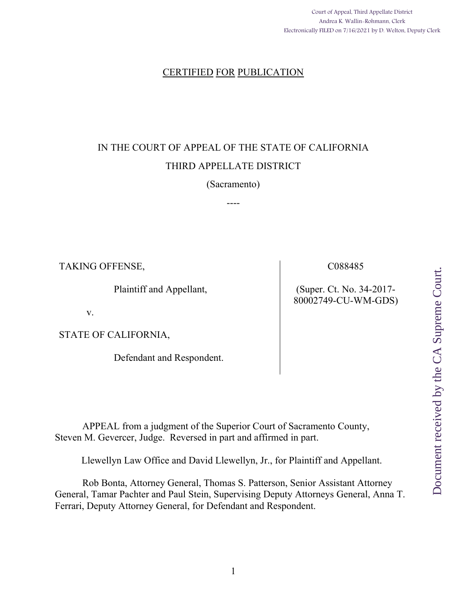Court of Appeal, Third Appellate District Andrea K. Wallin-Rohmann, Clerk Electronically FILED on 7/16/2021 by D. Welton, Deputy Clerk

#### CERTIFIED FOR PUBLICATION

# IN THE COURT OF APPEAL OF THE STATE OF CALIFORNIA THIRD APPELLATE DISTRICT

#### (Sacramento)

----

TAKING OFFENSE,

Plaintiff and Appellant,

v.

STATE OF CALIFORNIA,

Defendant and Respondent.

C088485

(Super. Ct. No. 34-2017- 80002749-CU-WM-GDS) Document received by the CA Supreme Court. Document received by the CA Supreme Court.

APPEAL from a judgment of the Superior Court of Sacramento County, Steven M. Gevercer, Judge. Reversed in part and affirmed in part.

Llewellyn Law Office and David Llewellyn, Jr., for Plaintiff and Appellant.

Rob Bonta, Attorney General, Thomas S. Patterson, Senior Assistant Attorney General, Tamar Pachter and Paul Stein, Supervising Deputy Attorneys General, Anna T. Ferrari, Deputy Attorney General, for Defendant and Respondent.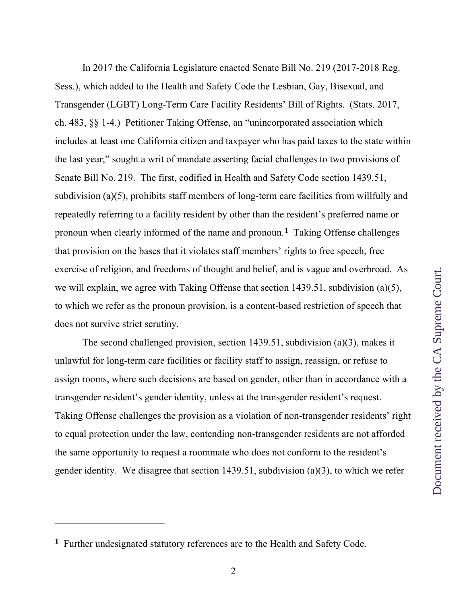In 2017 the California Legislature enacted Senate Bill No. 219 (2017-2018 Reg. Sess.), which added to the Health and Safety Code the Lesbian, Gay, Bisexual, and Transgender (LGBT) Long-Term Care Facility Residents' Bill of Rights. (Stats. 2017, ch. 483, §§ 1-4.) Petitioner Taking Offense, an "unincorporated association which includes at least one California citizen and taxpayer who has paid taxes to the state within the last year," sought a writ of mandate asserting facial challenges to two provisions of Senate Bill No. 219. The first, codified in Health and Safety Code section 1439.51, subdivision (a)(5), prohibits staff members of long-term care facilities from willfully and repeatedly referring to a facility resident by other than the resident's preferred name or pronoun when clearly informed of the name and pronoun.**1** Taking Offense challenges that provision on the bases that it violates staff members' rights to free speech, free exercise of religion, and freedoms of thought and belief, and is vague and overbroad. As we will explain, we agree with Taking Offense that section 1439.51, subdivision (a)(5), to which we refer as the pronoun provision, is a content-based restriction of speech that does not survive strict scrutiny.

The second challenged provision, section 1439.51, subdivision (a)(3), makes it unlawful for long-term care facilities or facility staff to assign, reassign, or refuse to assign rooms, where such decisions are based on gender, other than in accordance with a transgender resident's gender identity, unless at the transgender resident's request. Taking Offense challenges the provision as a violation of non-transgender residents' right to equal protection under the law, contending non-transgender residents are not afforded the same opportunity to request a roommate who does not conform to the resident's gender identity. We disagree that section 1439.51, subdivision (a)(3), to which we refer

**<sup>1</sup>** Further undesignated statutory references are to the Health and Safety Code.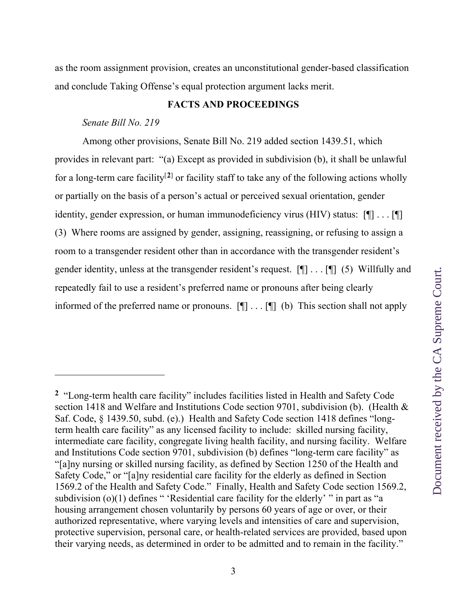as the room assignment provision, creates an unconstitutional gender-based classification and conclude Taking Offense's equal protection argument lacks merit.

# **FACTS AND PROCEEDINGS**

# *Senate Bill No. 219*

Among other provisions, Senate Bill No. 219 added section 1439.51, which provides in relevant part: "(a) Except as provided in subdivision (b), it shall be unlawful for a long-term care facility<sup>[2]</sup> or facility staff to take any of the following actions wholly or partially on the basis of a person's actual or perceived sexual orientation, gender identity, gender expression, or human immunodeficiency virus (HIV) status:  $[\P] \dots [\P]$ (3) Where rooms are assigned by gender, assigning, reassigning, or refusing to assign a room to a transgender resident other than in accordance with the transgender resident's gender identity, unless at the transgender resident's request. [¶] . . . [¶] (5) Willfully and repeatedly fail to use a resident's preferred name or pronouns after being clearly informed of the preferred name or pronouns. [¶] . . . [¶] (b) This section shall not apply

**<sup>2</sup>** "Long-term health care facility" includes facilities listed in Health and Safety Code section 1418 and Welfare and Institutions Code section 9701, subdivision (b). (Health & Saf. Code, § 1439.50, subd. (e).) Health and Safety Code section 1418 defines "longterm health care facility" as any licensed facility to include: skilled nursing facility, intermediate care facility, congregate living health facility, and nursing facility. Welfare and Institutions Code section 9701, subdivision (b) defines "long-term care facility" as "[a]ny nursing or skilled nursing facility, as defined by Section 1250 of the Health and Safety Code," or "[a]ny residential care facility for the elderly as defined in Section 1569.2 of the Health and Safety Code." Finally, Health and Safety Code section 1569.2, subdivision  $(o)(1)$  defines " 'Residential care facility for the elderly' " in part as "a housing arrangement chosen voluntarily by persons 60 years of age or over, or their authorized representative, where varying levels and intensities of care and supervision, protective supervision, personal care, or health-related services are provided, based upon their varying needs, as determined in order to be admitted and to remain in the facility."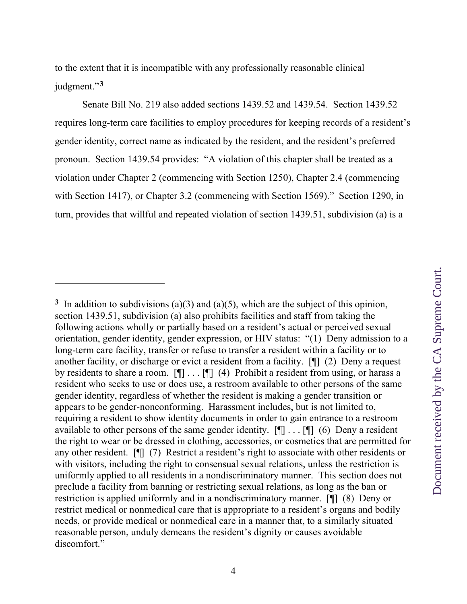to the extent that it is incompatible with any professionally reasonable clinical judgment."**<sup>3</sup>**

 Senate Bill No. 219 also added sections 1439.52 and 1439.54. Section 1439.52 requires long-term care facilities to employ procedures for keeping records of a resident's gender identity, correct name as indicated by the resident, and the resident's preferred pronoun. Section 1439.54 provides: "A violation of this chapter shall be treated as a violation under Chapter 2 (commencing with Section 1250), Chapter 2.4 (commencing with Section 1417), or Chapter 3.2 (commencing with Section 1569)." Section 1290, in turn, provides that willful and repeated violation of section 1439.51, subdivision (a) is a

**<sup>3</sup>** In addition to subdivisions (a)(3) and (a)(5), which are the subject of this opinion, section 1439.51, subdivision (a) also prohibits facilities and staff from taking the following actions wholly or partially based on a resident's actual or perceived sexual orientation, gender identity, gender expression, or HIV status: "(1) Deny admission to a long-term care facility, transfer or refuse to transfer a resident within a facility or to another facility, or discharge or evict a resident from a facility. [¶] (2) Deny a request by residents to share a room.  $[\P] \dots [\P]$  (4) Prohibit a resident from using, or harass a resident who seeks to use or does use, a restroom available to other persons of the same gender identity, regardless of whether the resident is making a gender transition or appears to be gender-nonconforming. Harassment includes, but is not limited to, requiring a resident to show identity documents in order to gain entrance to a restroom available to other persons of the same gender identity.  $[\P]$ ...  $[\P]$  (6) Deny a resident the right to wear or be dressed in clothing, accessories, or cosmetics that are permitted for any other resident. [¶] (7) Restrict a resident's right to associate with other residents or with visitors, including the right to consensual sexual relations, unless the restriction is uniformly applied to all residents in a nondiscriminatory manner. This section does not preclude a facility from banning or restricting sexual relations, as long as the ban or restriction is applied uniformly and in a nondiscriminatory manner. [¶] (8) Deny or restrict medical or nonmedical care that is appropriate to a resident's organs and bodily needs, or provide medical or nonmedical care in a manner that, to a similarly situated reasonable person, unduly demeans the resident's dignity or causes avoidable discomfort."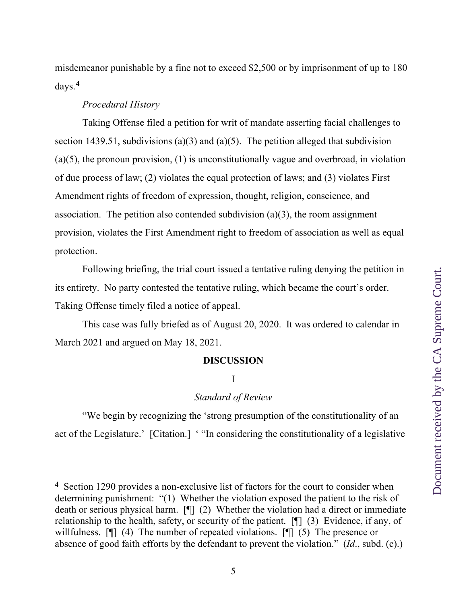misdemeanor punishable by a fine not to exceed \$2,500 or by imprisonment of up to 180 days.**<sup>4</sup>**

### *Procedural History*

 Taking Offense filed a petition for writ of mandate asserting facial challenges to section 1439.51, subdivisions (a)(3) and (a)(5). The petition alleged that subdivision (a)(5), the pronoun provision, (1) is unconstitutionally vague and overbroad, in violation of due process of law; (2) violates the equal protection of laws; and (3) violates First Amendment rights of freedom of expression, thought, religion, conscience, and association. The petition also contended subdivision (a)(3), the room assignment provision, violates the First Amendment right to freedom of association as well as equal protection.

 Following briefing, the trial court issued a tentative ruling denying the petition in its entirety. No party contested the tentative ruling, which became the court's order. Taking Offense timely filed a notice of appeal.

 This case was fully briefed as of August 20, 2020. It was ordered to calendar in March 2021 and argued on May 18, 2021.

### **DISCUSSION**

### I

### *Standard of Review*

"We begin by recognizing the 'strong presumption of the constitutionality of an act of the Legislature.' [Citation.] ' "In considering the constitutionality of a legislative

**<sup>4</sup>** Section 1290 provides a non-exclusive list of factors for the court to consider when determining punishment: "(1) Whether the violation exposed the patient to the risk of death or serious physical harm. [¶] (2) Whether the violation had a direct or immediate relationship to the health, safety, or security of the patient. [¶] (3) Evidence, if any, of willfulness. [1] (4) The number of repeated violations. [1] (5) The presence or absence of good faith efforts by the defendant to prevent the violation." (*Id*., subd. (c).)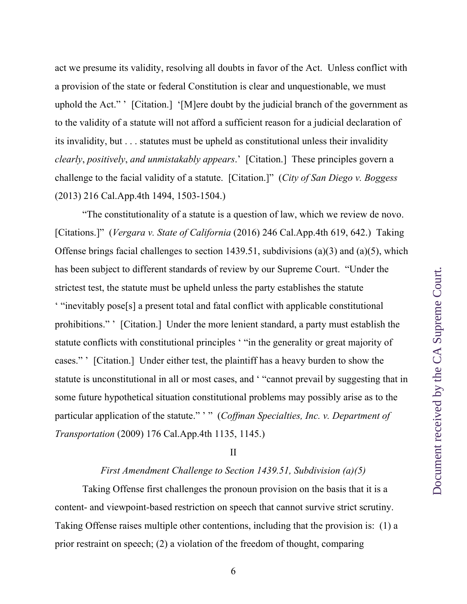act we presume its validity, resolving all doubts in favor of the Act. Unless conflict with a provision of the state or federal Constitution is clear and unquestionable, we must uphold the Act." ' [Citation.] '[M]ere doubt by the judicial branch of the government as to the validity of a statute will not afford a sufficient reason for a judicial declaration of its invalidity, but . . . statutes must be upheld as constitutional unless their invalidity *clearly*, *positively*, *and unmistakably appears*.' [Citation.] These principles govern a challenge to the facial validity of a statute. [Citation.]" (*City of San Diego v. Boggess* (2013) 216 Cal.App.4th 1494, 1503-1504.)

"The constitutionality of a statute is a question of law, which we review de novo. [Citations.]" (*Vergara v. State of California* (2016) 246 Cal.App.4th 619, 642.) Taking Offense brings facial challenges to section 1439.51, subdivisions (a)(3) and (a)(5), which has been subject to different standards of review by our Supreme Court. "Under the strictest test, the statute must be upheld unless the party establishes the statute ' "inevitably pose[s] a present total and fatal conflict with applicable constitutional prohibitions." ' [Citation.] Under the more lenient standard, a party must establish the statute conflicts with constitutional principles ' "in the generality or great majority of cases." ' [Citation.] Under either test, the plaintiff has a heavy burden to show the statute is unconstitutional in all or most cases, and ' "cannot prevail by suggesting that in some future hypothetical situation constitutional problems may possibly arise as to the particular application of the statute." ' " (*Coffman Specialties, Inc. v. Department of Transportation* (2009) 176 Cal.App.4th 1135, 1145.)

#### II

# *First Amendment Challenge to Section 1439.51, Subdivision (a)(5)*

Taking Offense first challenges the pronoun provision on the basis that it is a content- and viewpoint-based restriction on speech that cannot survive strict scrutiny. Taking Offense raises multiple other contentions, including that the provision is: (1) a prior restraint on speech; (2) a violation of the freedom of thought, comparing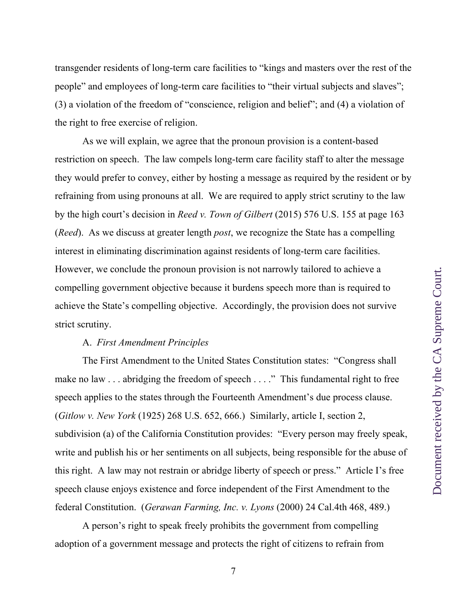transgender residents of long-term care facilities to "kings and masters over the rest of the people" and employees of long-term care facilities to "their virtual subjects and slaves"; (3) a violation of the freedom of "conscience, religion and belief"; and (4) a violation of the right to free exercise of religion.

 As we will explain, we agree that the pronoun provision is a content-based restriction on speech. The law compels long-term care facility staff to alter the message they would prefer to convey, either by hosting a message as required by the resident or by refraining from using pronouns at all. We are required to apply strict scrutiny to the law by the high court's decision in *Reed v. Town of Gilbert* (2015) 576 U.S. 155 at page 163 (*Reed*). As we discuss at greater length *post*, we recognize the State has a compelling interest in eliminating discrimination against residents of long-term care facilities. However, we conclude the pronoun provision is not narrowly tailored to achieve a compelling government objective because it burdens speech more than is required to achieve the State's compelling objective. Accordingly, the provision does not survive strict scrutiny.

### A. *First Amendment Principles*

The First Amendment to the United States Constitution states: "Congress shall make no law . . . abridging the freedom of speech . . . ." This fundamental right to free speech applies to the states through the Fourteenth Amendment's due process clause. (*Gitlow v. New York* (1925) 268 U.S. 652, 666.) Similarly, article I, section 2, subdivision (a) of the California Constitution provides: "Every person may freely speak, write and publish his or her sentiments on all subjects, being responsible for the abuse of this right. A law may not restrain or abridge liberty of speech or press." Article I's free speech clause enjoys existence and force independent of the First Amendment to the federal Constitution. (*Gerawan Farming, Inc. v. Lyons* (2000) 24 Cal.4th 468, 489.)

A person's right to speak freely prohibits the government from compelling adoption of a government message and protects the right of citizens to refrain from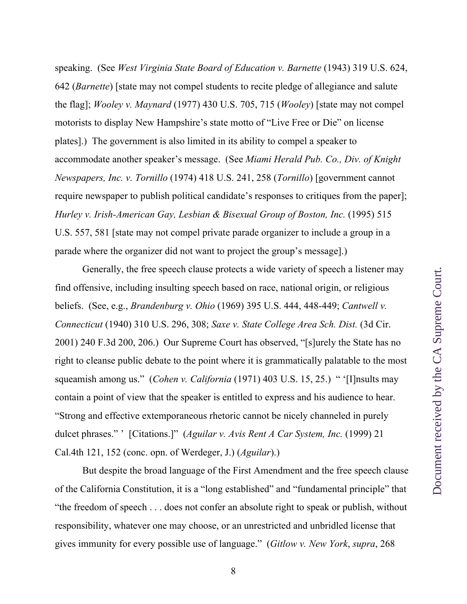speaking. (See *West Virginia State Board of Education v. Barnette* (1943) 319 U.S. 624, 642 (*Barnette*) [state may not compel students to recite pledge of allegiance and salute the flag]; *Wooley v. Maynard* (1977) 430 U.S. 705, 715 (*Wooley*) [state may not compel motorists to display New Hampshire's state motto of "Live Free or Die" on license plates].) The government is also limited in its ability to compel a speaker to accommodate another speaker's message. (See *Miami Herald Pub. Co., Div. of Knight Newspapers, Inc. v. Tornillo* (1974) 418 U.S. 241, 258 (*Tornillo*) [government cannot require newspaper to publish political candidate's responses to critiques from the paper]; *Hurley v. Irish-American Gay, Lesbian & Bisexual Group of Boston, Inc.* (1995) 515 U.S. 557, 581 [state may not compel private parade organizer to include a group in a parade where the organizer did not want to project the group's message].)

Generally, the free speech clause protects a wide variety of speech a listener may find offensive, including insulting speech based on race, national origin, or religious beliefs. (See, e.g., *Brandenburg v. Ohio* (1969) 395 U.S. 444, 448-449; *Cantwell v. Connecticut* (1940) 310 U.S. 296, 308; *Saxe v. State College Area Sch. Dist.* (3d Cir. 2001) 240 F.3d 200, 206.) Our Supreme Court has observed, "[s]urely the State has no right to cleanse public debate to the point where it is grammatically palatable to the most squeamish among us." (*Cohen v. California* (1971) 403 U.S. 15, 25.) " '[I]nsults may contain a point of view that the speaker is entitled to express and his audience to hear. "Strong and effective extemporaneous rhetoric cannot be nicely channeled in purely dulcet phrases." ' [Citations.]" (*Aguilar v. Avis Rent A Car System, Inc.* (1999) 21 Cal.4th 121, 152 (conc. opn. of Werdeger, J.) (*Aguilar*).)

But despite the broad language of the First Amendment and the free speech clause of the California Constitution, it is a "long established" and "fundamental principle" that "the freedom of speech . . . does not confer an absolute right to speak or publish, without responsibility, whatever one may choose, or an unrestricted and unbridled license that gives immunity for every possible use of language." (*Gitlow v. New York*, *supra*, 268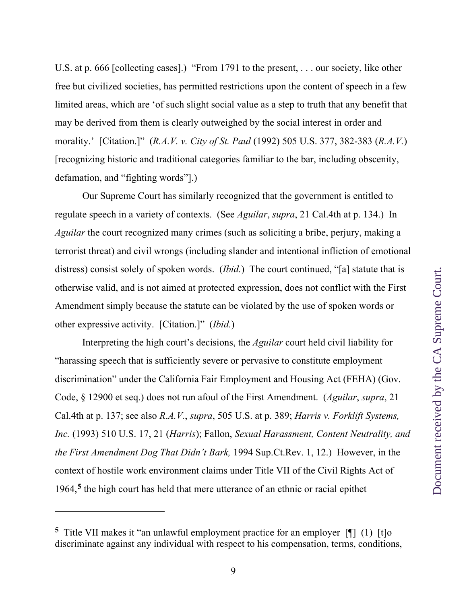U.S. at p. 666 [collecting cases].) "From 1791 to the present, . . . our society, like other free but civilized societies, has permitted restrictions upon the content of speech in a few limited areas, which are 'of such slight social value as a step to truth that any benefit that may be derived from them is clearly outweighed by the social interest in order and morality.' [Citation.]" (*R.A.V. v. City of St. Paul* (1992) 505 U.S. 377, 382-383 (*R.A.V.*) [recognizing historic and traditional categories familiar to the bar, including obscenity, defamation, and "fighting words"].)

Our Supreme Court has similarly recognized that the government is entitled to regulate speech in a variety of contexts. (See *Aguilar*, *supra*, 21 Cal.4th at p. 134.) In *Aguilar* the court recognized many crimes (such as soliciting a bribe, perjury, making a terrorist threat) and civil wrongs (including slander and intentional infliction of emotional distress) consist solely of spoken words. *(Ibid.)* The court continued, "[a] statute that is otherwise valid, and is not aimed at protected expression, does not conflict with the First Amendment simply because the statute can be violated by the use of spoken words or other expressive activity. [Citation.]" (*Ibid.*)

Interpreting the high court's decisions, the *Aguilar* court held civil liability for "harassing speech that is sufficiently severe or pervasive to constitute employment discrimination" under the California Fair Employment and Housing Act (FEHA) (Gov. Code, § 12900 et seq.) does not run afoul of the First Amendment. (*Aguilar*, *supra*, 21 Cal.4th at p. 137; see also *R.A.V.*, *supra*, 505 U.S. at p. 389; *Harris v. Forklift Systems, Inc.* (1993) 510 U.S. 17, 21 (*Harris*); Fallon, *Sexual Harassment, Content Neutrality, and the First Amendment Dog That Didn't Bark,* 1994 Sup.Ct.Rev. 1, 12.) However, in the context of hostile work environment claims under Title VII of the Civil Rights Act of 1964,**5** the high court has held that mere utterance of an ethnic or racial epithet

**<sup>5</sup>** Title VII makes it "an unlawful employment practice for an employer [¶] (1) [t]o discriminate against any individual with respect to his compensation, terms, conditions,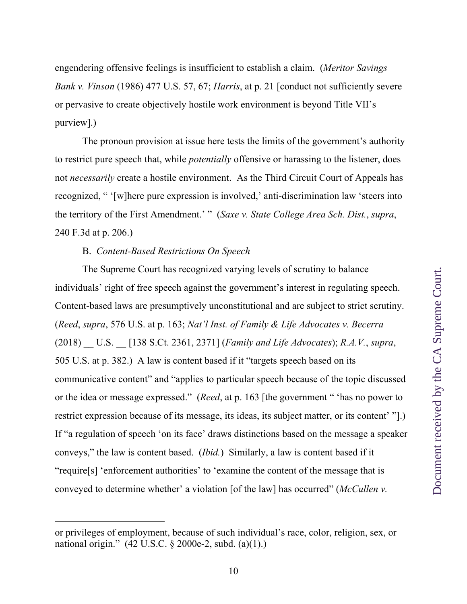engendering offensive feelings is insufficient to establish a claim. (*Meritor Savings Bank v. Vinson* (1986) 477 U.S. 57, 67; *Harris*, at p. 21 [conduct not sufficiently severe or pervasive to create objectively hostile work environment is beyond Title VII's purview].)

The pronoun provision at issue here tests the limits of the government's authority to restrict pure speech that, while *potentially* offensive or harassing to the listener, does not *necessarily* create a hostile environment. As the Third Circuit Court of Appeals has recognized, " '[w]here pure expression is involved,' anti-discrimination law 'steers into the territory of the First Amendment.' " (*Saxe v. State College Area Sch. Dist.*, *supra*, 240 F.3d at p. 206.)

# B. *Content-Based Restrictions On Speech*

The Supreme Court has recognized varying levels of scrutiny to balance individuals' right of free speech against the government's interest in regulating speech. Content-based laws are presumptively unconstitutional and are subject to strict scrutiny. (*Reed*, *supra*, 576 U.S. at p. 163; *Nat'l Inst. of Family & Life Advocates v. Becerra* (2018) \_\_ U.S. \_\_ [138 S.Ct. 2361, 2371] (*Family and Life Advocates*); *R.A.V.*, *supra*, 505 U.S. at p. 382.) A law is content based if it "targets speech based on its communicative content" and "applies to particular speech because of the topic discussed or the idea or message expressed." (*Reed*, at p. 163 [the government " 'has no power to restrict expression because of its message, its ideas, its subject matter, or its content' "].) If "a regulation of speech 'on its face' draws distinctions based on the message a speaker conveys," the law is content based. (*Ibid.*) Similarly, a law is content based if it "require[s] 'enforcement authorities' to 'examine the content of the message that is conveyed to determine whether' a violation [of the law] has occurred" (*McCullen v.* 

or privileges of employment, because of such individual's race, color, religion, sex, or national origin." (42 U.S.C. § 2000e-2, subd. (a)(1).)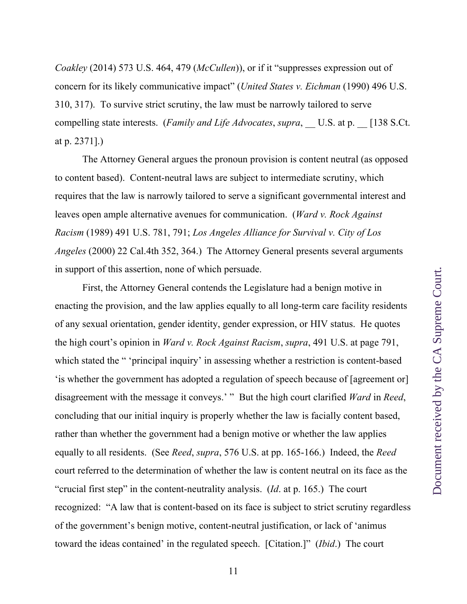*Coakley* (2014) 573 U.S. 464, 479 (*McCullen*)), or if it "suppresses expression out of concern for its likely communicative impact" (*United States v. Eichman* (1990) 496 U.S. 310, 317). To survive strict scrutiny, the law must be narrowly tailored to serve compelling state interests. (*Family and Life Advocates*, *supra*, U.S. at p. [138 S.Ct.] at p. 2371].)

The Attorney General argues the pronoun provision is content neutral (as opposed to content based). Content-neutral laws are subject to intermediate scrutiny, which requires that the law is narrowly tailored to serve a significant governmental interest and leaves open ample alternative avenues for communication. (*Ward v. Rock Against Racism* (1989) 491 U.S. 781, 791; *Los Angeles Alliance for Survival v. City of Los Angeles* (2000) 22 Cal.4th 352, 364.) The Attorney General presents several arguments in support of this assertion, none of which persuade.

First, the Attorney General contends the Legislature had a benign motive in enacting the provision, and the law applies equally to all long-term care facility residents of any sexual orientation, gender identity, gender expression, or HIV status. He quotes the high court's opinion in *Ward v. Rock Against Racism*, *supra*, 491 U.S. at page 791, which stated the " 'principal inquiry' in assessing whether a restriction is content-based 'is whether the government has adopted a regulation of speech because of [agreement or] disagreement with the message it conveys.' " But the high court clarified *Ward* in *Reed*, concluding that our initial inquiry is properly whether the law is facially content based, rather than whether the government had a benign motive or whether the law applies equally to all residents. (See *Reed*, *supra*, 576 U.S. at pp. 165-166.) Indeed, the *Reed* court referred to the determination of whether the law is content neutral on its face as the "crucial first step" in the content-neutrality analysis. (*Id*. at p. 165.) The court recognized: "A law that is content-based on its face is subject to strict scrutiny regardless of the government's benign motive, content-neutral justification, or lack of 'animus toward the ideas contained' in the regulated speech. [Citation.]" (*Ibid*.) The court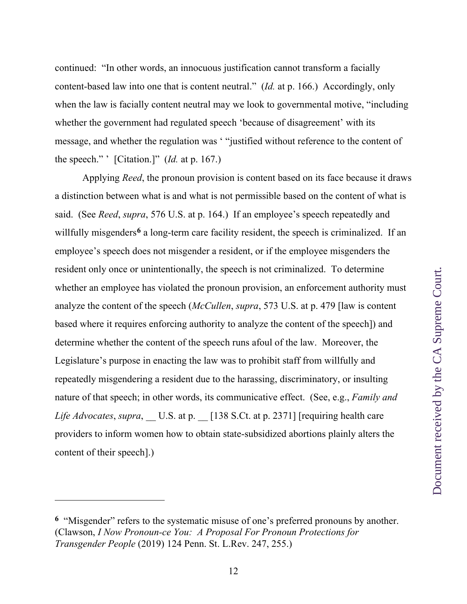continued: "In other words, an innocuous justification cannot transform a facially content-based law into one that is content neutral." (*Id.* at p. 166.) Accordingly, only when the law is facially content neutral may we look to governmental motive, "including" whether the government had regulated speech 'because of disagreement' with its message, and whether the regulation was ' "justified without reference to the content of the speech." ' [Citation.]" (*Id.* at p. 167.)

Applying *Reed*, the pronoun provision is content based on its face because it draws a distinction between what is and what is not permissible based on the content of what is said. (See *Reed*, *supra*, 576 U.S. at p. 164.) If an employee's speech repeatedly and willfully misgenders<sup>6</sup> a long-term care facility resident, the speech is criminalized. If an employee's speech does not misgender a resident, or if the employee misgenders the resident only once or unintentionally, the speech is not criminalized. To determine whether an employee has violated the pronoun provision, an enforcement authority must analyze the content of the speech (*McCullen*, *supra*, 573 U.S. at p. 479 [law is content based where it requires enforcing authority to analyze the content of the speech]) and determine whether the content of the speech runs afoul of the law. Moreover, the Legislature's purpose in enacting the law was to prohibit staff from willfully and repeatedly misgendering a resident due to the harassing, discriminatory, or insulting nature of that speech; in other words, its communicative effect. (See, e.g., *Family and Life Advocates, supra,* U.S. at p. [138 S.Ct. at p. 2371] [requiring health care providers to inform women how to obtain state-subsidized abortions plainly alters the content of their speech].)

**<sup>6</sup>** "Misgender" refers to the systematic misuse of one's preferred pronouns by another. (Clawson, *I Now Pronoun-ce You: A Proposal For Pronoun Protections for Transgender People* (2019) 124 Penn. St. L.Rev. 247, 255.)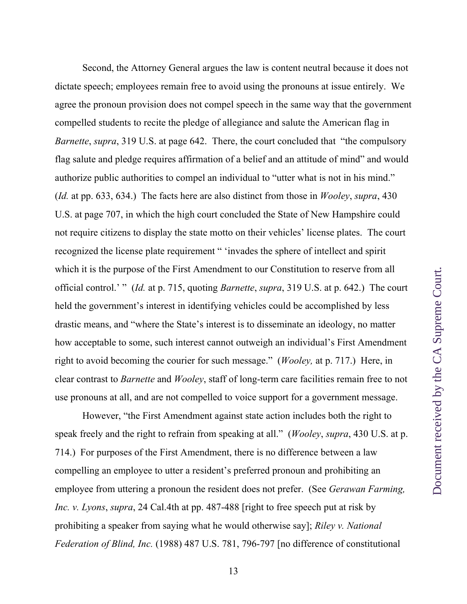Second, the Attorney General argues the law is content neutral because it does not dictate speech; employees remain free to avoid using the pronouns at issue entirely. We agree the pronoun provision does not compel speech in the same way that the government compelled students to recite the pledge of allegiance and salute the American flag in *Barnette*, *supra*, 319 U.S. at page 642. There, the court concluded that "the compulsory flag salute and pledge requires affirmation of a belief and an attitude of mind" and would authorize public authorities to compel an individual to "utter what is not in his mind." (*Id.* at pp. 633, 634.) The facts here are also distinct from those in *Wooley*, *supra*, 430 U.S. at page 707, in which the high court concluded the State of New Hampshire could not require citizens to display the state motto on their vehicles' license plates. The court recognized the license plate requirement " 'invades the sphere of intellect and spirit which it is the purpose of the First Amendment to our Constitution to reserve from all official control.' " (*Id.* at p. 715, quoting *Barnette*, *supra*, 319 U.S. at p. 642.) The court held the government's interest in identifying vehicles could be accomplished by less drastic means, and "where the State's interest is to disseminate an ideology, no matter how acceptable to some, such interest cannot outweigh an individual's First Amendment right to avoid becoming the courier for such message." (*Wooley,* at p. 717.) Here, in clear contrast to *Barnette* and *Wooley*, staff of long-term care facilities remain free to not use pronouns at all, and are not compelled to voice support for a government message.

However, "the First Amendment against state action includes both the right to speak freely and the right to refrain from speaking at all." (*Wooley*, *supra*, 430 U.S. at p. 714.) For purposes of the First Amendment, there is no difference between a law compelling an employee to utter a resident's preferred pronoun and prohibiting an employee from uttering a pronoun the resident does not prefer. (See *Gerawan Farming, Inc. v. Lyons*, *supra*, 24 Cal.4th at pp. 487-488 [right to free speech put at risk by prohibiting a speaker from saying what he would otherwise say]; *Riley v. National Federation of Blind, Inc.* (1988) 487 U.S. 781, 796-797 [no difference of constitutional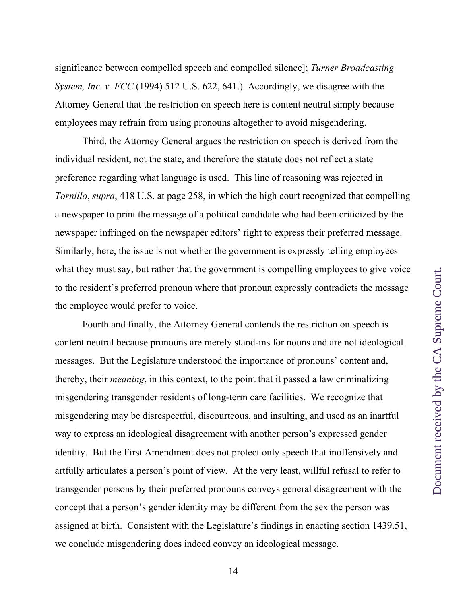significance between compelled speech and compelled silence]; *Turner Broadcasting System, Inc. v. FCC* (1994) 512 U.S. 622, 641.) Accordingly, we disagree with the Attorney General that the restriction on speech here is content neutral simply because employees may refrain from using pronouns altogether to avoid misgendering.

Third, the Attorney General argues the restriction on speech is derived from the individual resident, not the state, and therefore the statute does not reflect a state preference regarding what language is used. This line of reasoning was rejected in *Tornillo*, *supra*, 418 U.S. at page 258, in which the high court recognized that compelling a newspaper to print the message of a political candidate who had been criticized by the newspaper infringed on the newspaper editors' right to express their preferred message. Similarly, here, the issue is not whether the government is expressly telling employees what they must say, but rather that the government is compelling employees to give voice to the resident's preferred pronoun where that pronoun expressly contradicts the message the employee would prefer to voice.

Fourth and finally, the Attorney General contends the restriction on speech is content neutral because pronouns are merely stand-ins for nouns and are not ideological messages. But the Legislature understood the importance of pronouns' content and, thereby, their *meaning*, in this context, to the point that it passed a law criminalizing misgendering transgender residents of long-term care facilities. We recognize that misgendering may be disrespectful, discourteous, and insulting, and used as an inartful way to express an ideological disagreement with another person's expressed gender identity. But the First Amendment does not protect only speech that inoffensively and artfully articulates a person's point of view. At the very least, willful refusal to refer to transgender persons by their preferred pronouns conveys general disagreement with the concept that a person's gender identity may be different from the sex the person was assigned at birth. Consistent with the Legislature's findings in enacting section 1439.51, we conclude misgendering does indeed convey an ideological message.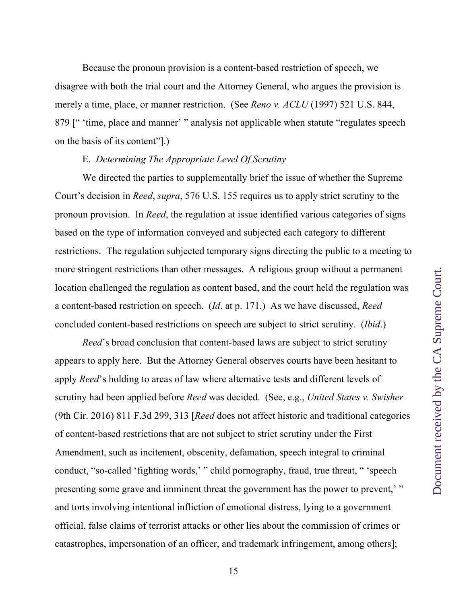Because the pronoun provision is a content-based restriction of speech, we disagree with both the trial court and the Attorney General, who argues the provision is merely a time, place, or manner restriction. (See *Reno v. ACLU* (1997) 521 U.S. 844, 879 [" 'time, place and manner' " analysis not applicable when statute "regulates speech on the basis of its content"].)

# E. *Determining The Appropriate Level Of Scrutiny*

We directed the parties to supplementally brief the issue of whether the Supreme Court's decision in *Reed*, *supra*, 576 U.S. 155 requires us to apply strict scrutiny to the pronoun provision. In *Reed*, the regulation at issue identified various categories of signs based on the type of information conveyed and subjected each category to different restrictions. The regulation subjected temporary signs directing the public to a meeting to more stringent restrictions than other messages. A religious group without a permanent location challenged the regulation as content based, and the court held the regulation was a content-based restriction on speech. (*Id*. at p. 171.) As we have discussed, *Reed*  concluded content-based restrictions on speech are subject to strict scrutiny. (*Ibid*.)

*Reed*'s broad conclusion that content-based laws are subject to strict scrutiny appears to apply here. But the Attorney General observes courts have been hesitant to apply *Reed*'s holding to areas of law where alternative tests and different levels of scrutiny had been applied before *Reed* was decided. (See, e.g., *United States v. Swisher*  (9th Cir. 2016) 811 F.3d 299, 313 [*Reed* does not affect historic and traditional categories of content-based restrictions that are not subject to strict scrutiny under the First Amendment, such as incitement, obscenity, defamation, speech integral to criminal conduct, "so-called 'fighting words,' " child pornography, fraud, true threat, " 'speech presenting some grave and imminent threat the government has the power to prevent,' " and torts involving intentional infliction of emotional distress, lying to a government official, false claims of terrorist attacks or other lies about the commission of crimes or catastrophes, impersonation of an officer, and trademark infringement, among others];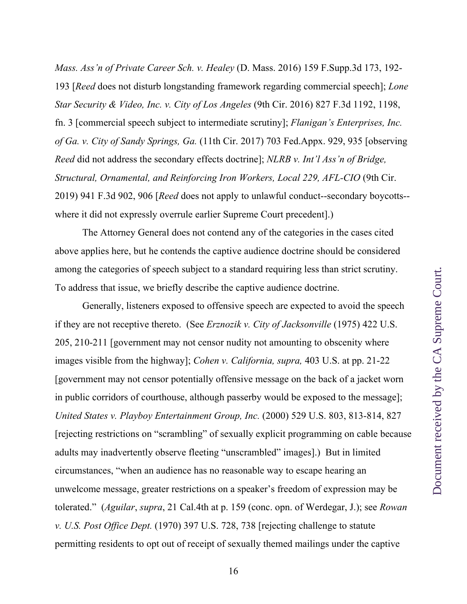*Mass. Ass'n of Private Career Sch. v. Healey* (D. Mass. 2016) 159 F.Supp.3d 173, 192- 193 [*Reed* does not disturb longstanding framework regarding commercial speech]; *Lone Star Security & Video, Inc. v. City of Los Angeles* (9th Cir. 2016) 827 F.3d 1192, 1198, fn. 3 [commercial speech subject to intermediate scrutiny]; *Flanigan's Enterprises, Inc. of Ga. v. City of Sandy Springs, Ga.* (11th Cir. 2017) 703 Fed.Appx. 929, 935 [observing *Reed* did not address the secondary effects doctrine]; *NLRB v. Int'l Ass'n of Bridge, Structural, Ornamental, and Reinforcing Iron Workers, Local 229, AFL-CIO* (9th Cir. 2019) 941 F.3d 902, 906 [*Reed* does not apply to unlawful conduct--secondary boycotts- where it did not expressly overrule earlier Supreme Court precedent].)

The Attorney General does not contend any of the categories in the cases cited above applies here, but he contends the captive audience doctrine should be considered among the categories of speech subject to a standard requiring less than strict scrutiny. To address that issue, we briefly describe the captive audience doctrine.

Generally, listeners exposed to offensive speech are expected to avoid the speech if they are not receptive thereto. (See *Erznozik v. City of Jacksonville* (1975) 422 U.S. 205, 210-211 [government may not censor nudity not amounting to obscenity where images visible from the highway]; *Cohen v. California, supra,* 403 U.S. at pp. 21-22 [government may not censor potentially offensive message on the back of a jacket worn in public corridors of courthouse, although passerby would be exposed to the message]; *United States v. Playboy Entertainment Group, Inc.* (2000) 529 U.S. 803, 813-814, 827 [rejecting restrictions on "scrambling" of sexually explicit programming on cable because adults may inadvertently observe fleeting "unscrambled" images].) But in limited circumstances, "when an audience has no reasonable way to escape hearing an unwelcome message, greater restrictions on a speaker's freedom of expression may be tolerated." (*Aguilar*, *supra*, 21 Cal.4th at p. 159 (conc. opn. of Werdegar, J.); see *Rowan v. U.S. Post Office Dept.* (1970) 397 U.S. 728, 738 [rejecting challenge to statute permitting residents to opt out of receipt of sexually themed mailings under the captive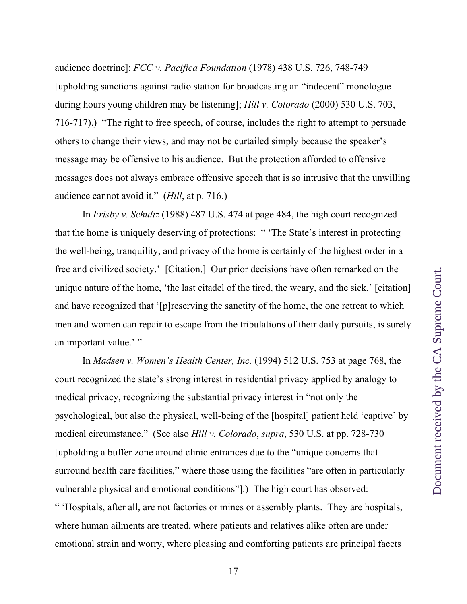audience doctrine]; *FCC v. Pacifica Foundation* (1978) 438 U.S. 726, 748-749 [upholding sanctions against radio station for broadcasting an "indecent" monologue during hours young children may be listening]; *Hill v. Colorado* (2000) 530 U.S. 703, 716-717).) "The right to free speech, of course, includes the right to attempt to persuade others to change their views, and may not be curtailed simply because the speaker's message may be offensive to his audience. But the protection afforded to offensive messages does not always embrace offensive speech that is so intrusive that the unwilling audience cannot avoid it." (*Hill*, at p. 716.)

In *Frisby v. Schultz* (1988) 487 U.S. 474 at page 484, the high court recognized that the home is uniquely deserving of protections: " 'The State's interest in protecting the well-being, tranquility, and privacy of the home is certainly of the highest order in a free and civilized society.' [Citation.] Our prior decisions have often remarked on the unique nature of the home, 'the last citadel of the tired, the weary, and the sick,' [citation] and have recognized that '[p]reserving the sanctity of the home, the one retreat to which men and women can repair to escape from the tribulations of their daily pursuits, is surely an important value.' "

In *Madsen v. Women's Health Center, Inc.* (1994) 512 U.S. 753 at page 768, the court recognized the state's strong interest in residential privacy applied by analogy to medical privacy, recognizing the substantial privacy interest in "not only the psychological, but also the physical, well-being of the [hospital] patient held 'captive' by medical circumstance." (See also *Hill v. Colorado*, *supra*, 530 U.S. at pp. 728-730 [upholding a buffer zone around clinic entrances due to the "unique concerns that surround health care facilities," where those using the facilities "are often in particularly vulnerable physical and emotional conditions"].) The high court has observed: " 'Hospitals, after all, are not factories or mines or assembly plants. They are hospitals, where human ailments are treated, where patients and relatives alike often are under emotional strain and worry, where pleasing and comforting patients are principal facets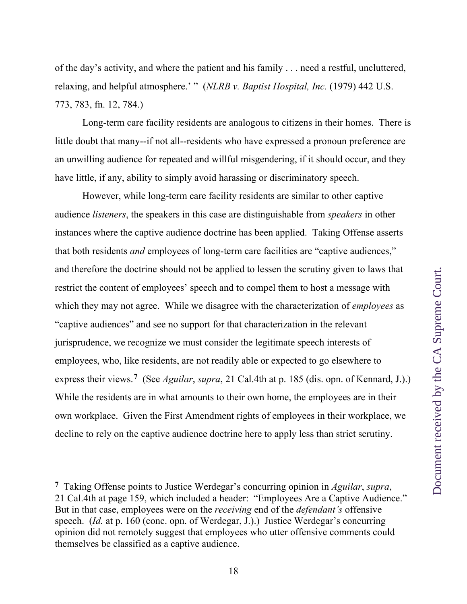of the day's activity, and where the patient and his family . . . need a restful, uncluttered, relaxing, and helpful atmosphere.' " (*NLRB v. Baptist Hospital, Inc.* (1979) 442 U.S. 773, 783, fn. 12, 784.)

Long-term care facility residents are analogous to citizens in their homes. There is little doubt that many--if not all--residents who have expressed a pronoun preference are an unwilling audience for repeated and willful misgendering, if it should occur, and they have little, if any, ability to simply avoid harassing or discriminatory speech.

However, while long-term care facility residents are similar to other captive audience *listeners*, the speakers in this case are distinguishable from *speakers* in other instances where the captive audience doctrine has been applied. Taking Offense asserts that both residents *and* employees of long-term care facilities are "captive audiences," and therefore the doctrine should not be applied to lessen the scrutiny given to laws that restrict the content of employees' speech and to compel them to host a message with which they may not agree. While we disagree with the characterization of *employees* as "captive audiences" and see no support for that characterization in the relevant jurisprudence, we recognize we must consider the legitimate speech interests of employees, who, like residents, are not readily able or expected to go elsewhere to express their views.**7** (See *Aguilar*, *supra*, 21 Cal.4th at p. 185 (dis. opn. of Kennard, J.).) While the residents are in what amounts to their own home, the employees are in their own workplace. Given the First Amendment rights of employees in their workplace, we decline to rely on the captive audience doctrine here to apply less than strict scrutiny.

**<sup>7</sup>** Taking Offense points to Justice Werdegar's concurring opinion in *Aguilar*, *supra*, 21 Cal.4th at page 159, which included a header: "Employees Are a Captive Audience." But in that case, employees were on the *receiving* end of the *defendant's* offensive speech. (*Id.* at p. 160 (conc. opn. of Werdegar, J.).) Justice Werdegar's concurring opinion did not remotely suggest that employees who utter offensive comments could themselves be classified as a captive audience.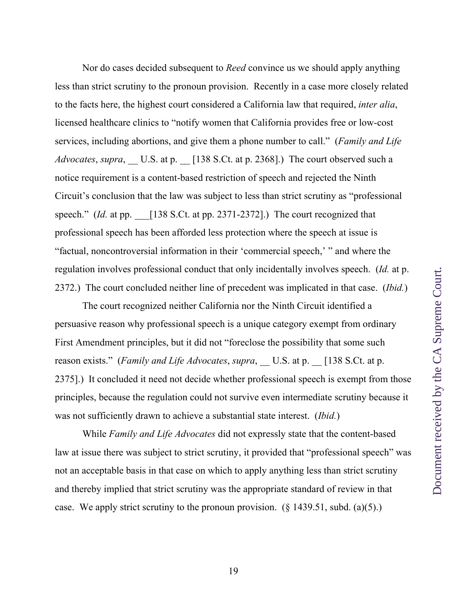Nor do cases decided subsequent to *Reed* convince us we should apply anything less than strict scrutiny to the pronoun provision. Recently in a case more closely related to the facts here, the highest court considered a California law that required, *inter alia*, licensed healthcare clinics to "notify women that California provides free or low-cost services, including abortions, and give them a phone number to call." (*Family and Life Advocates*, *supra*, \_\_ U.S. at p. \_\_ [138 S.Ct. at p. 2368].) The court observed such a notice requirement is a content-based restriction of speech and rejected the Ninth Circuit's conclusion that the law was subject to less than strict scrutiny as "professional speech." *(Id.* at pp.  $\left[138 \text{ S.Ct. at pp. } 2371-2372\right]$ .) The court recognized that professional speech has been afforded less protection where the speech at issue is "factual, noncontroversial information in their 'commercial speech,' " and where the regulation involves professional conduct that only incidentally involves speech. (*Id.* at p. 2372.) The court concluded neither line of precedent was implicated in that case. (*Ibid.*)

The court recognized neither California nor the Ninth Circuit identified a persuasive reason why professional speech is a unique category exempt from ordinary First Amendment principles, but it did not "foreclose the possibility that some such reason exists." (*Family and Life Advocates, supra,* U.S. at p.  $[138$  S.Ct. at p. 2375].) It concluded it need not decide whether professional speech is exempt from those principles, because the regulation could not survive even intermediate scrutiny because it was not sufficiently drawn to achieve a substantial state interest. (*Ibid.*)

While *Family and Life Advocates* did not expressly state that the content-based law at issue there was subject to strict scrutiny, it provided that "professional speech" was not an acceptable basis in that case on which to apply anything less than strict scrutiny and thereby implied that strict scrutiny was the appropriate standard of review in that case. We apply strict scrutiny to the pronoun provision.  $(\S 1439.51, \text{subd. (a)}(5))$ .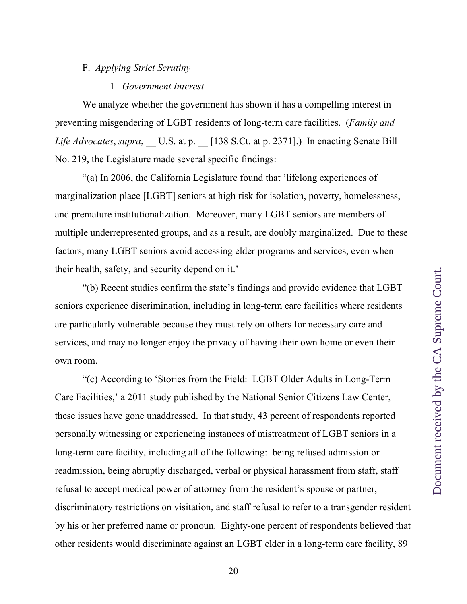# F. *Applying Strict Scrutiny*

### 1. *Government Interest*

We analyze whether the government has shown it has a compelling interest in preventing misgendering of LGBT residents of long-term care facilities. (*Family and Life Advocates*, *supra*, U.S. at p. [138 S.Ct. at p. 2371].) In enacting Senate Bill No. 219, the Legislature made several specific findings:

"(a) In 2006, the California Legislature found that 'lifelong experiences of marginalization place [LGBT] seniors at high risk for isolation, poverty, homelessness, and premature institutionalization. Moreover, many LGBT seniors are members of multiple underrepresented groups, and as a result, are doubly marginalized. Due to these factors, many LGBT seniors avoid accessing elder programs and services, even when their health, safety, and security depend on it.'

"(b) Recent studies confirm the state's findings and provide evidence that LGBT seniors experience discrimination, including in long-term care facilities where residents are particularly vulnerable because they must rely on others for necessary care and services, and may no longer enjoy the privacy of having their own home or even their own room.

"(c) According to 'Stories from the Field: LGBT Older Adults in Long-Term Care Facilities,' a 2011 study published by the National Senior Citizens Law Center, these issues have gone unaddressed. In that study, 43 percent of respondents reported personally witnessing or experiencing instances of mistreatment of LGBT seniors in a long-term care facility, including all of the following: being refused admission or readmission, being abruptly discharged, verbal or physical harassment from staff, staff refusal to accept medical power of attorney from the resident's spouse or partner, discriminatory restrictions on visitation, and staff refusal to refer to a transgender resident by his or her preferred name or pronoun. Eighty-one percent of respondents believed that other residents would discriminate against an LGBT elder in a long-term care facility, 89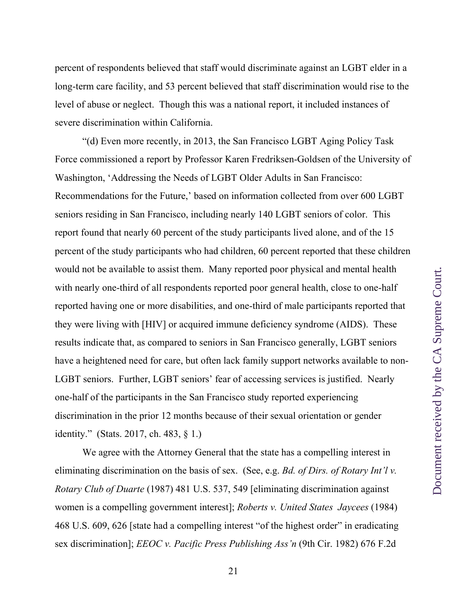percent of respondents believed that staff would discriminate against an LGBT elder in a long-term care facility, and 53 percent believed that staff discrimination would rise to the level of abuse or neglect. Though this was a national report, it included instances of severe discrimination within California.

"(d) Even more recently, in 2013, the San Francisco LGBT Aging Policy Task Force commissioned a report by Professor Karen Fredriksen-Goldsen of the University of Washington, 'Addressing the Needs of LGBT Older Adults in San Francisco: Recommendations for the Future,' based on information collected from over 600 LGBT seniors residing in San Francisco, including nearly 140 LGBT seniors of color. This report found that nearly 60 percent of the study participants lived alone, and of the 15 percent of the study participants who had children, 60 percent reported that these children would not be available to assist them. Many reported poor physical and mental health with nearly one-third of all respondents reported poor general health, close to one-half reported having one or more disabilities, and one-third of male participants reported that they were living with [HIV] or acquired immune deficiency syndrome (AIDS). These results indicate that, as compared to seniors in San Francisco generally, LGBT seniors have a heightened need for care, but often lack family support networks available to non-LGBT seniors. Further, LGBT seniors' fear of accessing services is justified. Nearly one-half of the participants in the San Francisco study reported experiencing discrimination in the prior 12 months because of their sexual orientation or gender identity." (Stats. 2017, ch. 483, § 1.)

We agree with the Attorney General that the state has a compelling interest in eliminating discrimination on the basis of sex. (See, e.g. *Bd. of Dirs. of Rotary Int'l v. Rotary Club of Duarte* (1987) 481 U.S. 537, 549 [eliminating discrimination against women is a compelling government interest]; *Roberts v. United States Jaycees* (1984) 468 U.S. 609, 626 [state had a compelling interest "of the highest order" in eradicating sex discrimination]; *EEOC v. Pacific Press Publishing Ass'n* (9th Cir. 1982) 676 F.2d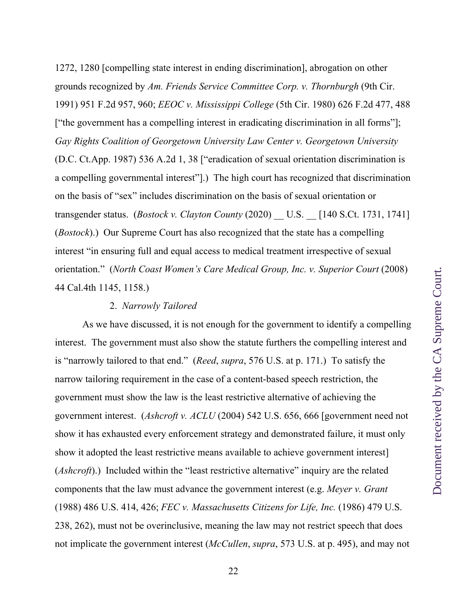1272, 1280 [compelling state interest in ending discrimination], abrogation on other grounds recognized by *Am. Friends Service Committee Corp. v. Thornburgh* (9th Cir. 1991) 951 F.2d 957, 960; *EEOC v. Mississippi College* (5th Cir. 1980) 626 F.2d 477, 488 ["the government has a compelling interest in eradicating discrimination in all forms"]; *Gay Rights Coalition of Georgetown University Law Center v. Georgetown University*  (D.C. Ct.App. 1987) 536 A.2d 1, 38 ["eradication of sexual orientation discrimination is a compelling governmental interest"].) The high court has recognized that discrimination on the basis of "sex" includes discrimination on the basis of sexual orientation or transgender status. (*Bostock v. Clayton County* (2020) \_\_ U.S. \_\_ [140 S.Ct. 1731, 1741] (*Bostock*).) Our Supreme Court has also recognized that the state has a compelling interest "in ensuring full and equal access to medical treatment irrespective of sexual orientation." (*North Coast Women's Care Medical Group, Inc. v. Superior Court* (2008) 44 Cal.4th 1145, 1158.)

## 2. *Narrowly Tailored*

As we have discussed, it is not enough for the government to identify a compelling interest. The government must also show the statute furthers the compelling interest and is "narrowly tailored to that end." (*Reed*, *supra*, 576 U.S. at p. 171.)To satisfy the narrow tailoring requirement in the case of a content-based speech restriction, the government must show the law is the least restrictive alternative of achieving the government interest. (*Ashcroft v. ACLU* (2004) 542 U.S. 656, 666 [government need not show it has exhausted every enforcement strategy and demonstrated failure, it must only show it adopted the least restrictive means available to achieve government interest] (*Ashcroft*).) Included within the "least restrictive alternative" inquiry are the related components that the law must advance the government interest (e.g. *Meyer v. Grant* (1988) 486 U.S. 414, 426; *FEC v. Massachusetts Citizens for Life, Inc.* (1986) 479 U.S. 238, 262), must not be overinclusive, meaning the law may not restrict speech that does not implicate the government interest (*McCullen*, *supra*, 573 U.S. at p. 495), and may not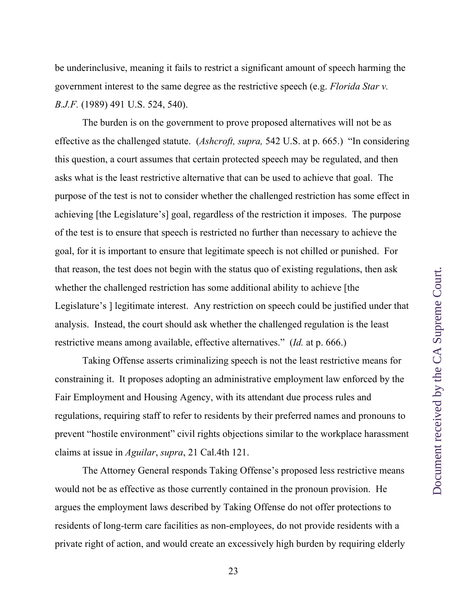be underinclusive, meaning it fails to restrict a significant amount of speech harming the government interest to the same degree as the restrictive speech (e.g. *Florida Star v. B.J.F.* (1989) 491 U.S. 524, 540).

The burden is on the government to prove proposed alternatives will not be as effective as the challenged statute. (*Ashcroft, supra,* 542 U.S. at p. 665.) "In considering this question, a court assumes that certain protected speech may be regulated, and then asks what is the least restrictive alternative that can be used to achieve that goal. The purpose of the test is not to consider whether the challenged restriction has some effect in achieving [the Legislature's] goal, regardless of the restriction it imposes. The purpose of the test is to ensure that speech is restricted no further than necessary to achieve the goal, for it is important to ensure that legitimate speech is not chilled or punished. For that reason, the test does not begin with the status quo of existing regulations, then ask whether the challenged restriction has some additional ability to achieve [the Legislature's ] legitimate interest. Any restriction on speech could be justified under that analysis. Instead, the court should ask whether the challenged regulation is the least restrictive means among available, effective alternatives." (*Id.* at p. 666.)

Taking Offense asserts criminalizing speech is not the least restrictive means for constraining it. It proposes adopting an administrative employment law enforced by the Fair Employment and Housing Agency, with its attendant due process rules and regulations, requiring staff to refer to residents by their preferred names and pronouns to prevent "hostile environment" civil rights objections similar to the workplace harassment claims at issue in *Aguilar*, *supra*, 21 Cal.4th 121.

The Attorney General responds Taking Offense's proposed less restrictive means would not be as effective as those currently contained in the pronoun provision. He argues the employment laws described by Taking Offense do not offer protections to residents of long-term care facilities as non-employees, do not provide residents with a private right of action, and would create an excessively high burden by requiring elderly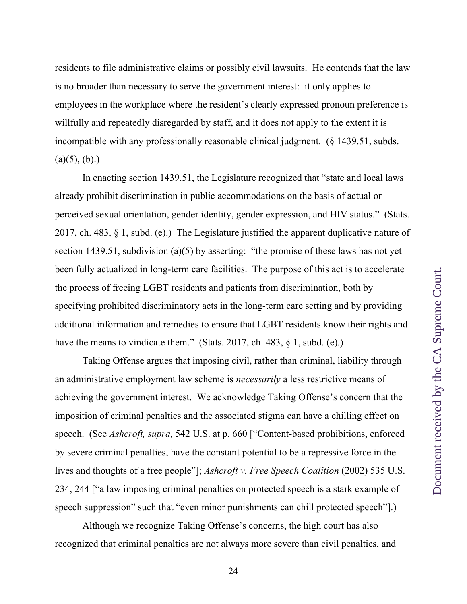residents to file administrative claims or possibly civil lawsuits. He contends that the law is no broader than necessary to serve the government interest: it only applies to employees in the workplace where the resident's clearly expressed pronoun preference is willfully and repeatedly disregarded by staff, and it does not apply to the extent it is incompatible with any professionally reasonable clinical judgment. (§ 1439.51, subds.  $(a)(5), (b).$ 

In enacting section 1439.51, the Legislature recognized that "state and local laws already prohibit discrimination in public accommodations on the basis of actual or perceived sexual orientation, gender identity, gender expression, and HIV status." (Stats. 2017, ch. 483, § 1, subd. (e).) The Legislature justified the apparent duplicative nature of section 1439.51, subdivision (a)(5) by asserting: "the promise of these laws has not yet been fully actualized in long-term care facilities. The purpose of this act is to accelerate the process of freeing LGBT residents and patients from discrimination, both by specifying prohibited discriminatory acts in the long-term care setting and by providing additional information and remedies to ensure that LGBT residents know their rights and have the means to vindicate them." (Stats. 2017, ch. 483, § 1, subd. (e)*.*)

Taking Offense argues that imposing civil, rather than criminal, liability through an administrative employment law scheme is *necessarily* a less restrictive means of achieving the government interest. We acknowledge Taking Offense's concern that the imposition of criminal penalties and the associated stigma can have a chilling effect on speech. (See *Ashcroft, supra,* 542 U.S. at p. 660 ["Content-based prohibitions, enforced by severe criminal penalties, have the constant potential to be a repressive force in the lives and thoughts of a free people"]; *Ashcroft v. Free Speech Coalition* (2002) 535 U.S. 234, 244 ["a law imposing criminal penalties on protected speech is a stark example of speech suppression" such that "even minor punishments can chill protected speech"].)

Although we recognize Taking Offense's concerns, the high court has also recognized that criminal penalties are not always more severe than civil penalties, and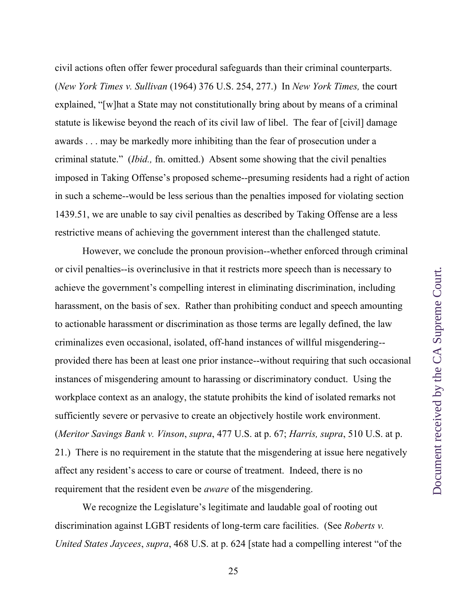civil actions often offer fewer procedural safeguards than their criminal counterparts. (*New York Times v. Sullivan* (1964) 376 U.S. 254, 277.) In *New York Times,* the court explained, "[w]hat a State may not constitutionally bring about by means of a criminal statute is likewise beyond the reach of its civil law of libel. The fear of [civil] damage awards . . . may be markedly more inhibiting than the fear of prosecution under a criminal statute." (*Ibid.,* fn. omitted.) Absent some showing that the civil penalties imposed in Taking Offense's proposed scheme--presuming residents had a right of action in such a scheme--would be less serious than the penalties imposed for violating section 1439.51, we are unable to say civil penalties as described by Taking Offense are a less restrictive means of achieving the government interest than the challenged statute.

However, we conclude the pronoun provision--whether enforced through criminal or civil penalties--is overinclusive in that it restricts more speech than is necessary to achieve the government's compelling interest in eliminating discrimination, including harassment, on the basis of sex. Rather than prohibiting conduct and speech amounting to actionable harassment or discrimination as those terms are legally defined, the law criminalizes even occasional, isolated, off-hand instances of willful misgendering- provided there has been at least one prior instance--without requiring that such occasional instances of misgendering amount to harassing or discriminatory conduct. Using the workplace context as an analogy, the statute prohibits the kind of isolated remarks not sufficiently severe or pervasive to create an objectively hostile work environment. (*Meritor Savings Bank v. Vinson*, *supra*, 477 U.S. at p. 67; *Harris, supra*, 510 U.S. at p. 21.) There is no requirement in the statute that the misgendering at issue here negatively affect any resident's access to care or course of treatment. Indeed, there is no requirement that the resident even be *aware* of the misgendering.

We recognize the Legislature's legitimate and laudable goal of rooting out discrimination against LGBT residents of long-term care facilities. (See *Roberts v. United States Jaycees*, *supra*, 468 U.S. at p. 624 [state had a compelling interest "of the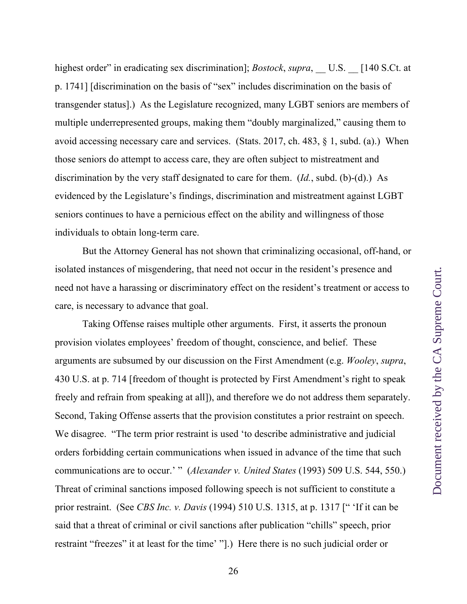highest order" in eradicating sex discrimination]; *Bostock*, *supra*, U.S. [140 S.Ct. at p. 1741] [discrimination on the basis of "sex" includes discrimination on the basis of transgender status].) As the Legislature recognized, many LGBT seniors are members of multiple underrepresented groups, making them "doubly marginalized," causing them to avoid accessing necessary care and services. (Stats. 2017, ch. 483, § 1, subd. (a).) When those seniors do attempt to access care, they are often subject to mistreatment and discrimination by the very staff designated to care for them. (*Id.*, subd. (b)-(d).) As evidenced by the Legislature's findings, discrimination and mistreatment against LGBT seniors continues to have a pernicious effect on the ability and willingness of those individuals to obtain long-term care.

But the Attorney General has not shown that criminalizing occasional, off-hand, or isolated instances of misgendering, that need not occur in the resident's presence and need not have a harassing or discriminatory effect on the resident's treatment or access to care, is necessary to advance that goal.

Taking Offense raises multiple other arguments. First, it asserts the pronoun provision violates employees' freedom of thought, conscience, and belief. These arguments are subsumed by our discussion on the First Amendment (e.g. *Wooley*, *supra*, 430 U.S. at p. 714 [freedom of thought is protected by First Amendment's right to speak freely and refrain from speaking at all]), and therefore we do not address them separately. Second, Taking Offense asserts that the provision constitutes a prior restraint on speech. We disagree. "The term prior restraint is used 'to describe administrative and judicial orders forbidding certain communications when issued in advance of the time that such communications are to occur.' " (*Alexander v. United States* (1993) 509 U.S. 544, 550.) Threat of criminal sanctions imposed following speech is not sufficient to constitute a prior restraint. (See *CBS Inc. v. Davis* (1994) 510 U.S. 1315, at p. 1317 [" 'If it can be said that a threat of criminal or civil sanctions after publication "chills" speech, prior restraint "freezes" it at least for the time' "].) Here there is no such judicial order or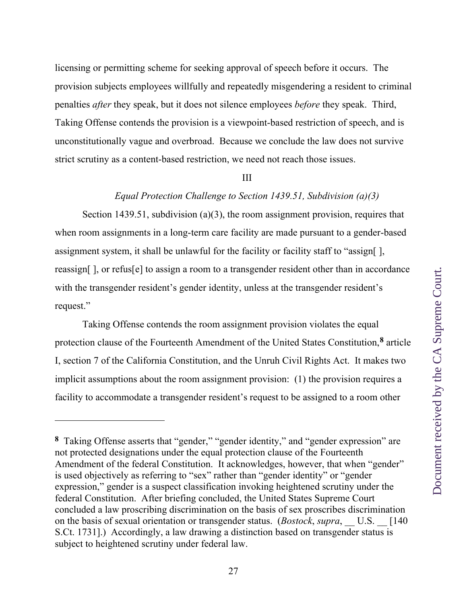licensing or permitting scheme for seeking approval of speech before it occurs. The provision subjects employees willfully and repeatedly misgendering a resident to criminal penalties *after* they speak, but it does not silence employees *before* they speak. Third, Taking Offense contends the provision is a viewpoint-based restriction of speech, and is unconstitutionally vague and overbroad. Because we conclude the law does not survive strict scrutiny as a content-based restriction, we need not reach those issues.

### III

### *Equal Protection Challenge to Section 1439.51, Subdivision (a)(3)*

Section 1439.51, subdivision (a)(3), the room assignment provision, requires that when room assignments in a long-term care facility are made pursuant to a gender-based assignment system, it shall be unlawful for the facility or facility staff to "assign[ ], reassign[ ], or refus[e] to assign a room to a transgender resident other than in accordance with the transgender resident's gender identity, unless at the transgender resident's request."

Taking Offense contends the room assignment provision violates the equal protection clause of the Fourteenth Amendment of the United States Constitution,**8** article I, section 7 of the California Constitution, and the Unruh Civil Rights Act. It makes two implicit assumptions about the room assignment provision: (1) the provision requires a facility to accommodate a transgender resident's request to be assigned to a room other

**<sup>8</sup>** Taking Offense asserts that "gender," "gender identity," and "gender expression" are not protected designations under the equal protection clause of the Fourteenth Amendment of the federal Constitution. It acknowledges, however, that when "gender" is used objectively as referring to "sex" rather than "gender identity" or "gender expression," gender is a suspect classification invoking heightened scrutiny under the federal Constitution. After briefing concluded, the United States Supreme Court concluded a law proscribing discrimination on the basis of sex proscribes discrimination on the basis of sexual orientation or transgender status. (*Bostock, supra*, U.S. [140] S.Ct. 1731].) Accordingly, a law drawing a distinction based on transgender status is subject to heightened scrutiny under federal law.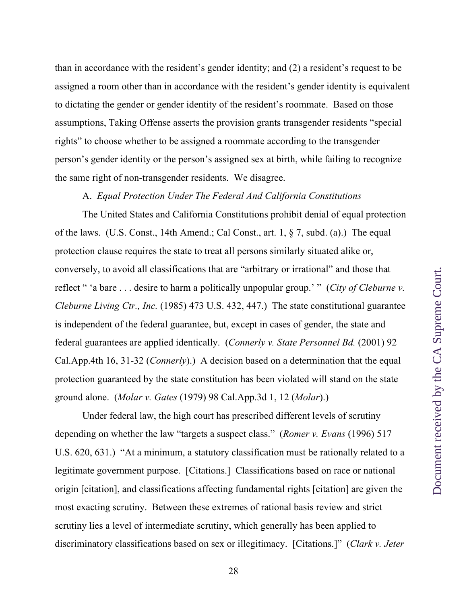than in accordance with the resident's gender identity; and (2) a resident's request to be assigned a room other than in accordance with the resident's gender identity is equivalent to dictating the gender or gender identity of the resident's roommate. Based on those assumptions, Taking Offense asserts the provision grants transgender residents "special rights" to choose whether to be assigned a roommate according to the transgender person's gender identity or the person's assigned sex at birth, while failing to recognize the same right of non-transgender residents. We disagree.

## A. *Equal Protection Under The Federal And California Constitutions*

The United States and California Constitutions prohibit denial of equal protection of the laws. (U.S. Const., 14th Amend.; Cal Const., art. 1, § 7, subd. (a).) The equal protection clause requires the state to treat all persons similarly situated alike or, conversely, to avoid all classifications that are "arbitrary or irrational" and those that reflect " 'a bare . . . desire to harm a politically unpopular group.' " (*City of Cleburne v. Cleburne Living Ctr., Inc.* (1985) 473 U.S. 432, 447.) The state constitutional guarantee is independent of the federal guarantee, but, except in cases of gender, the state and federal guarantees are applied identically. (*Connerly v. State Personnel Bd.* (2001) 92 Cal.App.4th 16, 31-32 (*Connerly*).) A decision based on a determination that the equal protection guaranteed by the state constitution has been violated will stand on the state ground alone. (*Molar v. Gates* (1979) 98 Cal.App.3d 1, 12 (*Molar*).)

Under federal law, the high court has prescribed different levels of scrutiny depending on whether the law "targets a suspect class." (*Romer v. Evans* (1996) 517 U.S. 620, 631.) "At a minimum, a statutory classification must be rationally related to a legitimate government purpose. [Citations.] Classifications based on race or national origin [citation], and classifications affecting fundamental rights [citation] are given the most exacting scrutiny. Between these extremes of rational basis review and strict scrutiny lies a level of intermediate scrutiny, which generally has been applied to discriminatory classifications based on sex or illegitimacy. [Citations.]" (*Clark v. Jeter*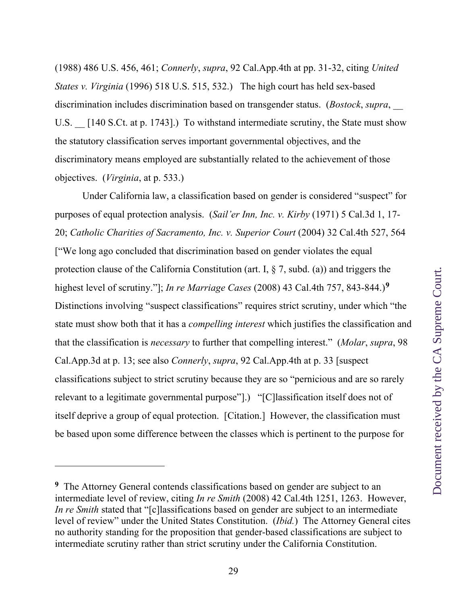(1988) 486 U.S. 456, 461; *Connerly*, *supra*, 92 Cal.App.4th at pp. 31-32, citing *United States v. Virginia* (1996) 518 U.S. 515, 532.) The high court has held sex-based discrimination includes discrimination based on transgender status. (*Bostock*, *supra*, \_\_ U.S. [140 S.Ct. at p. 1743].) To withstand intermediate scrutiny, the State must show the statutory classification serves important governmental objectives, and the discriminatory means employed are substantially related to the achievement of those objectives. (*Virginia*, at p. 533.)

Under California law, a classification based on gender is considered "suspect" for purposes of equal protection analysis. (*Sail'er Inn, Inc. v. Kirby* (1971) 5 Cal.3d 1, 17- 20; *Catholic Charities of Sacramento, Inc. v. Superior Court* (2004) 32 Cal.4th 527, 564 ["We long ago concluded that discrimination based on gender violates the equal protection clause of the California Constitution (art. I,  $\S$  7, subd. (a)) and triggers the highest level of scrutiny."]; *In re Marriage Cases* (2008) 43 Cal.4th 757, 843-844.)**<sup>9</sup>** Distinctions involving "suspect classifications" requires strict scrutiny, under which "the state must show both that it has a *compelling interest* which justifies the classification and that the classification is *necessary* to further that compelling interest." (*Molar*, *supra*, 98 Cal.App.3d at p. 13; see also *Connerly*, *supra*, 92 Cal.App.4th at p. 33 [suspect classifications subject to strict scrutiny because they are so "pernicious and are so rarely relevant to a legitimate governmental purpose"].) "[C]lassification itself does not of itself deprive a group of equal protection. [Citation.] However, the classification must be based upon some difference between the classes which is pertinent to the purpose for

**<sup>9</sup>** The Attorney General contends classifications based on gender are subject to an intermediate level of review, citing *In re Smith* (2008) 42 Cal.4th 1251, 1263. However, *In re Smith* stated that "[c]lassifications based on gender are subject to an intermediate level of review" under the United States Constitution. (*Ibid.*) The Attorney General cites no authority standing for the proposition that gender-based classifications are subject to intermediate scrutiny rather than strict scrutiny under the California Constitution.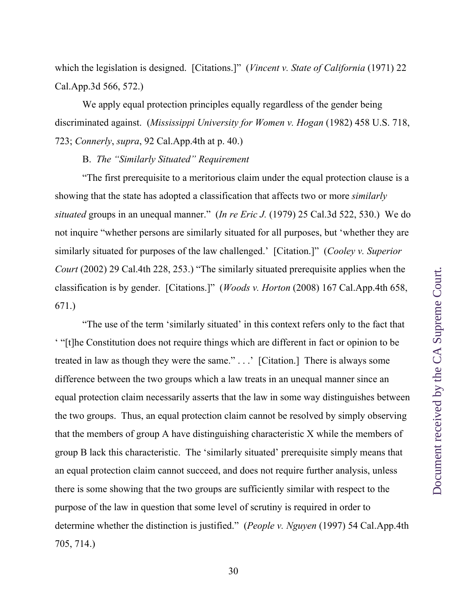which the legislation is designed. [Citations.]" (*Vincent v. State of California* (1971) 22 Cal.App.3d 566, 572.)

We apply equal protection principles equally regardless of the gender being discriminated against. (*Mississippi University for Women v. Hogan* (1982) 458 U.S. 718, 723; *Connerly*, *supra*, 92 Cal.App.4th at p. 40.)

B. *The "Similarly Situated" Requirement*

"The first prerequisite to a meritorious claim under the equal protection clause is a showing that the state has adopted a classification that affects two or more *similarly situated* groups in an unequal manner." (*In re Eric J.* (1979) 25 Cal.3d 522, 530.) We do not inquire "whether persons are similarly situated for all purposes, but 'whether they are similarly situated for purposes of the law challenged.' [Citation.]" (*Cooley v. Superior Court* (2002) 29 Cal.4th 228, 253.) "The similarly situated prerequisite applies when the classification is by gender. [Citations.]" (*Woods v. Horton* (2008) 167 Cal.App.4th 658, 671.)

"The use of the term 'similarly situated' in this context refers only to the fact that ' "[t]he Constitution does not require things which are different in fact or opinion to be treated in law as though they were the same." . . .' [Citation.] There is always some difference between the two groups which a law treats in an unequal manner since an equal protection claim necessarily asserts that the law in some way distinguishes between the two groups. Thus, an equal protection claim cannot be resolved by simply observing that the members of group A have distinguishing characteristic X while the members of group B lack this characteristic. The 'similarly situated' prerequisite simply means that an equal protection claim cannot succeed, and does not require further analysis, unless there is some showing that the two groups are sufficiently similar with respect to the purpose of the law in question that some level of scrutiny is required in order to determine whether the distinction is justified." (*People v. Nguyen* (1997) 54 Cal.App.4th 705, 714.)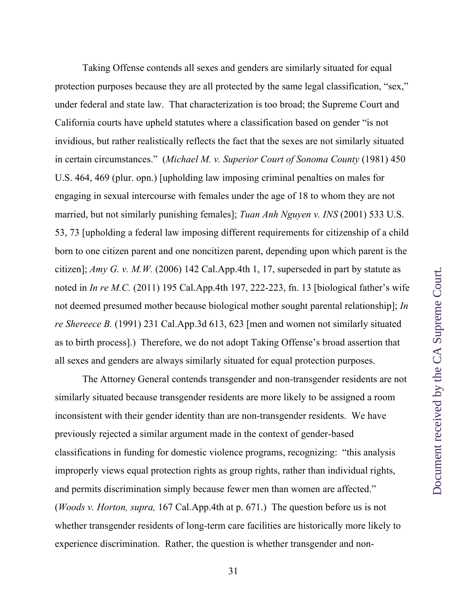Taking Offense contends all sexes and genders are similarly situated for equal protection purposes because they are all protected by the same legal classification, "sex," under federal and state law. That characterization is too broad; the Supreme Court and California courts have upheld statutes where a classification based on gender "is not invidious, but rather realistically reflects the fact that the sexes are not similarly situated in certain circumstances." (*Michael M. v. Superior Court of Sonoma County* (1981) 450 U.S. 464, 469 (plur. opn.) [upholding law imposing criminal penalties on males for engaging in sexual intercourse with females under the age of 18 to whom they are not married, but not similarly punishing females]; *Tuan Anh Nguyen v. INS* (2001) 533 U.S. 53, 73 [upholding a federal law imposing different requirements for citizenship of a child born to one citizen parent and one noncitizen parent, depending upon which parent is the citizen]; *Amy G. v. M.W.* (2006) 142 Cal.App.4th 1, 17, superseded in part by statute as noted in *In re M.C.* (2011) 195 Cal.App.4th 197, 222-223, fn. 13 [biological father's wife not deemed presumed mother because biological mother sought parental relationship]; *In re Shereece B.* (1991) 231 Cal.App.3d 613, 623 [men and women not similarly situated as to birth process].) Therefore, we do not adopt Taking Offense's broad assertion that all sexes and genders are always similarly situated for equal protection purposes.

The Attorney General contends transgender and non-transgender residents are not similarly situated because transgender residents are more likely to be assigned a room inconsistent with their gender identity than are non-transgender residents. We have previously rejected a similar argument made in the context of gender-based classifications in funding for domestic violence programs, recognizing: "this analysis improperly views equal protection rights as group rights, rather than individual rights, and permits discrimination simply because fewer men than women are affected." (*Woods v. Horton, supra,* 167 Cal.App.4th at p. 671.) The question before us is not whether transgender residents of long-term care facilities are historically more likely to experience discrimination. Rather, the question is whether transgender and non-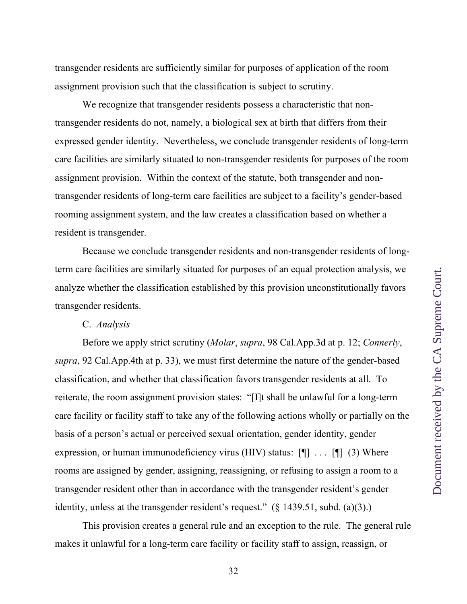transgender residents are sufficiently similar for purposes of application of the room assignment provision such that the classification is subject to scrutiny.

We recognize that transgender residents possess a characteristic that nontransgender residents do not, namely, a biological sex at birth that differs from their expressed gender identity. Nevertheless, we conclude transgender residents of long-term care facilities are similarly situated to non-transgender residents for purposes of the room assignment provision. Within the context of the statute, both transgender and nontransgender residents of long-term care facilities are subject to a facility's gender-based rooming assignment system, and the law creates a classification based on whether a resident is transgender.

Because we conclude transgender residents and non-transgender residents of longterm care facilities are similarly situated for purposes of an equal protection analysis, we analyze whether the classification established by this provision unconstitutionally favors transgender residents.

### C. *Analysis*

Before we apply strict scrutiny (*Molar*, *supra*, 98 Cal.App.3d at p. 12; *Connerly*, *supra*, 92 Cal.App.4th at p. 33), we must first determine the nature of the gender-based classification, and whether that classification favors transgender residents at all. To reiterate, the room assignment provision states: "[I]t shall be unlawful for a long-term care facility or facility staff to take any of the following actions wholly or partially on the basis of a person's actual or perceived sexual orientation, gender identity, gender expression, or human immunodeficiency virus (HIV) status: [¶] . . . [¶] (3) Where rooms are assigned by gender, assigning, reassigning, or refusing to assign a room to a transgender resident other than in accordance with the transgender resident's gender identity, unless at the transgender resident's request." (§ 1439.51, subd. (a)(3).)

This provision creates a general rule and an exception to the rule. The general rule makes it unlawful for a long-term care facility or facility staff to assign, reassign, or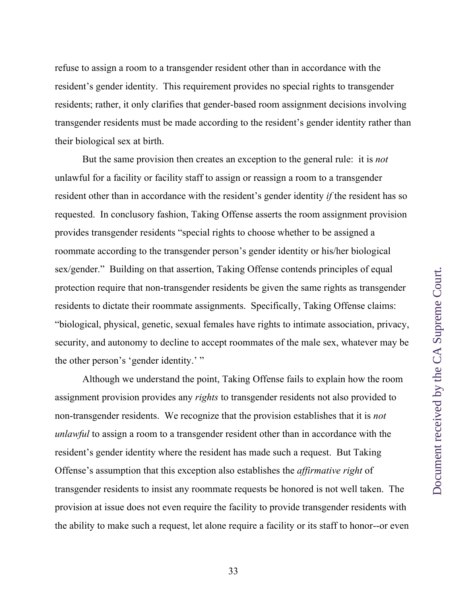refuse to assign a room to a transgender resident other than in accordance with the resident's gender identity. This requirement provides no special rights to transgender residents; rather, it only clarifies that gender-based room assignment decisions involving transgender residents must be made according to the resident's gender identity rather than their biological sex at birth.

But the same provision then creates an exception to the general rule: it is *not*  unlawful for a facility or facility staff to assign or reassign a room to a transgender resident other than in accordance with the resident's gender identity *if* the resident has so requested. In conclusory fashion, Taking Offense asserts the room assignment provision provides transgender residents "special rights to choose whether to be assigned a roommate according to the transgender person's gender identity or his/her biological sex/gender." Building on that assertion, Taking Offense contends principles of equal protection require that non-transgender residents be given the same rights as transgender residents to dictate their roommate assignments. Specifically, Taking Offense claims: "biological, physical, genetic, sexual females have rights to intimate association, privacy, security, and autonomy to decline to accept roommates of the male sex, whatever may be the other person's 'gender identity.'"

Although we understand the point, Taking Offense fails to explain how the room assignment provision provides any *rights* to transgender residents not also provided to non-transgender residents. We recognize that the provision establishes that it is *not unlawful* to assign a room to a transgender resident other than in accordance with the resident's gender identity where the resident has made such a request. But Taking Offense's assumption that this exception also establishes the *affirmative right* of transgender residents to insist any roommate requests be honored is not well taken. The provision at issue does not even require the facility to provide transgender residents with the ability to make such a request, let alone require a facility or its staff to honor--or even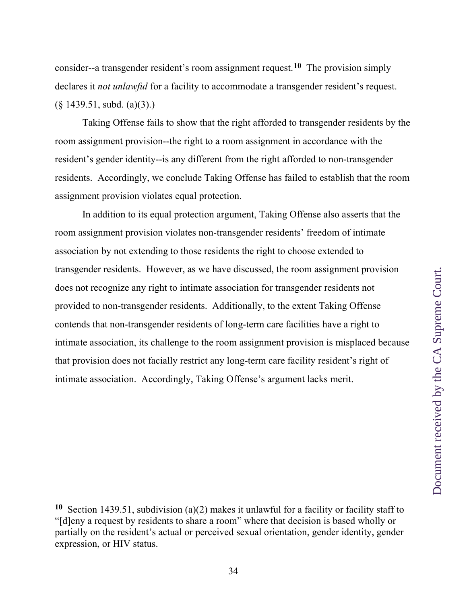consider--a transgender resident's room assignment request.**10** The provision simply declares it *not unlawful* for a facility to accommodate a transgender resident's request.  $(\S$  1439.51, subd.  $(a)(3)$ .)

Taking Offense fails to show that the right afforded to transgender residents by the room assignment provision--the right to a room assignment in accordance with the resident's gender identity--is any different from the right afforded to non-transgender residents. Accordingly, we conclude Taking Offense has failed to establish that the room assignment provision violates equal protection.

In addition to its equal protection argument, Taking Offense also asserts that the room assignment provision violates non-transgender residents' freedom of intimate association by not extending to those residents the right to choose extended to transgender residents. However, as we have discussed, the room assignment provision does not recognize any right to intimate association for transgender residents not provided to non-transgender residents. Additionally, to the extent Taking Offense contends that non-transgender residents of long-term care facilities have a right to intimate association, its challenge to the room assignment provision is misplaced because that provision does not facially restrict any long-term care facility resident's right of intimate association. Accordingly, Taking Offense's argument lacks merit.

**<sup>10</sup>** Section 1439.51, subdivision (a)(2) makes it unlawful for a facility or facility staff to "[d]eny a request by residents to share a room" where that decision is based wholly or partially on the resident's actual or perceived sexual orientation, gender identity, gender expression, or HIV status.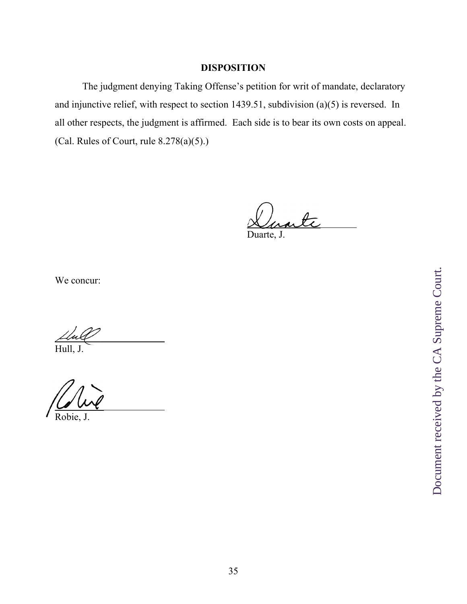# **DISPOSITION**

 The judgment denying Taking Offense's petition for writ of mandate, declaratory and injunctive relief, with respect to section 1439.51, subdivision (a)(5) is reversed. In all other respects, the judgment is affirmed. Each side is to bear its own costs on appeal. (Cal. Rules of Court, rule 8.278(a)(5).)

rti

Duarte, J.

We concur:

 $\epsilon$ 

Hull, J.

 $\overline{\phantom{0}}$ Robie, J.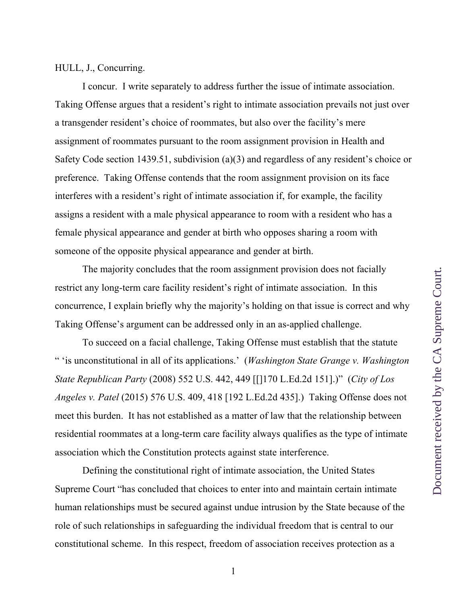I concur. I write separately to address further the issue of intimate association. Taking Offense argues that a resident's right to intimate association prevails not just over a transgender resident's choice of roommates, but also over the facility's mere assignment of roommates pursuant to the room assignment provision in Health and Safety Code section 1439.51, subdivision (a)(3) and regardless of any resident's choice or preference. Taking Offense contends that the room assignment provision on its face interferes with a resident's right of intimate association if, for example, the facility assigns a resident with a male physical appearance to room with a resident who has a female physical appearance and gender at birth who opposes sharing a room with someone of the opposite physical appearance and gender at birth.

The majority concludes that the room assignment provision does not facially restrict any long-term care facility resident's right of intimate association. In this concurrence, I explain briefly why the majority's holding on that issue is correct and why Taking Offense's argument can be addressed only in an as-applied challenge.

To succeed on a facial challenge, Taking Offense must establish that the statute " 'is unconstitutional in all of its applications.' (*Washington State Grange v. Washington State Republican Party* (2008) 552 U.S. 442, 449 [[]170 L.Ed.2d 151].)" (*City of Los Angeles v. Patel* (2015) 576 U.S. 409, 418 [192 L.Ed.2d 435].) Taking Offense does not meet this burden. It has not established as a matter of law that the relationship between residential roommates at a long-term care facility always qualifies as the type of intimate association which the Constitution protects against state interference.

Defining the constitutional right of intimate association, the United States Supreme Court "has concluded that choices to enter into and maintain certain intimate human relationships must be secured against undue intrusion by the State because of the role of such relationships in safeguarding the individual freedom that is central to our constitutional scheme. In this respect, freedom of association receives protection as a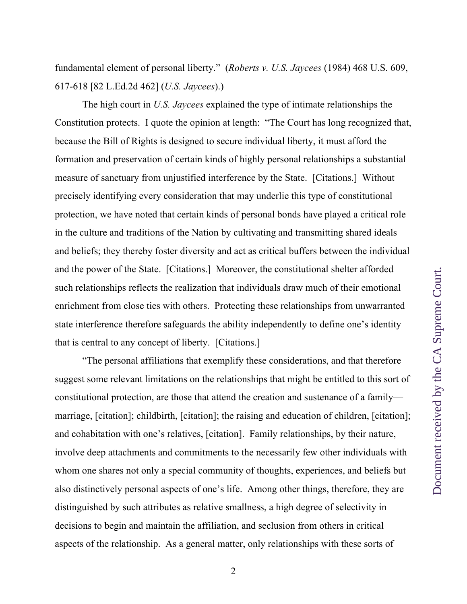fundamental element of personal liberty." (*Roberts v. U.S. Jaycees* (1984) 468 U.S. 609, 617-618 [82 L.Ed.2d 462] (*U.S. Jaycees*).)

The high court in *U.S. Jaycees* explained the type of intimate relationships the Constitution protects. I quote the opinion at length: "The Court has long recognized that, because the Bill of Rights is designed to secure individual liberty, it must afford the formation and preservation of certain kinds of highly personal relationships a substantial measure of sanctuary from unjustified interference by the State. [Citations.] Without precisely identifying every consideration that may underlie this type of constitutional protection, we have noted that certain kinds of personal bonds have played a critical role in the culture and traditions of the Nation by cultivating and transmitting shared ideals and beliefs; they thereby foster diversity and act as critical buffers between the individual and the power of the State. [Citations.] Moreover, the constitutional shelter afforded such relationships reflects the realization that individuals draw much of their emotional enrichment from close ties with others. Protecting these relationships from unwarranted state interference therefore safeguards the ability independently to define one's identity that is central to any concept of liberty. [Citations.]

"The personal affiliations that exemplify these considerations, and that therefore suggest some relevant limitations on the relationships that might be entitled to this sort of constitutional protection, are those that attend the creation and sustenance of a family marriage, [citation]; childbirth, [citation]; the raising and education of children, [citation]; and cohabitation with one's relatives, [citation]. Family relationships, by their nature, involve deep attachments and commitments to the necessarily few other individuals with whom one shares not only a special community of thoughts, experiences, and beliefs but also distinctively personal aspects of one's life. Among other things, therefore, they are distinguished by such attributes as relative smallness, a high degree of selectivity in decisions to begin and maintain the affiliation, and seclusion from others in critical aspects of the relationship. As a general matter, only relationships with these sorts of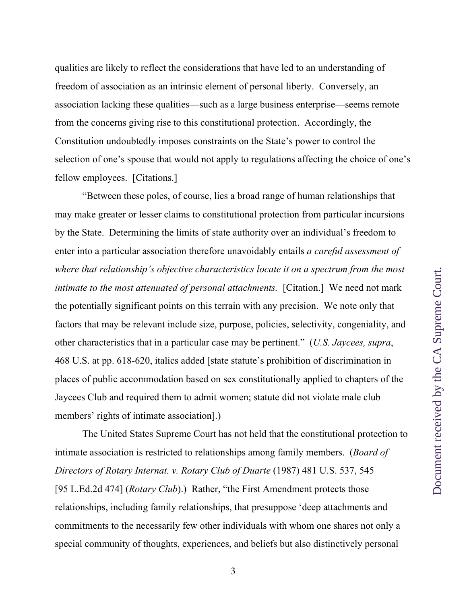qualities are likely to reflect the considerations that have led to an understanding of freedom of association as an intrinsic element of personal liberty. Conversely, an association lacking these qualities—such as a large business enterprise—seems remote from the concerns giving rise to this constitutional protection. Accordingly, the Constitution undoubtedly imposes constraints on the State's power to control the selection of one's spouse that would not apply to regulations affecting the choice of one's fellow employees. [Citations.]

"Between these poles, of course, lies a broad range of human relationships that may make greater or lesser claims to constitutional protection from particular incursions by the State. Determining the limits of state authority over an individual's freedom to enter into a particular association therefore unavoidably entails *a careful assessment of where that relationship's objective characteristics locate it on a spectrum from the most intimate to the most attenuated of personal attachments.* [Citation.] We need not mark the potentially significant points on this terrain with any precision. We note only that factors that may be relevant include size, purpose, policies, selectivity, congeniality, and other characteristics that in a particular case may be pertinent." (*U.S. Jaycees, supra*, 468 U.S. at pp. 618-620, italics added [state statute's prohibition of discrimination in places of public accommodation based on sex constitutionally applied to chapters of the Jaycees Club and required them to admit women; statute did not violate male club members' rights of intimate association].)

The United States Supreme Court has not held that the constitutional protection to intimate association is restricted to relationships among family members. (*Board of Directors of Rotary Internat. v. Rotary Club of Duarte* (1987) 481 U.S. 537, 545 [95 L.Ed.2d 474] (*Rotary Club*).) Rather, "the First Amendment protects those relationships, including family relationships, that presuppose 'deep attachments and commitments to the necessarily few other individuals with whom one shares not only a special community of thoughts, experiences, and beliefs but also distinctively personal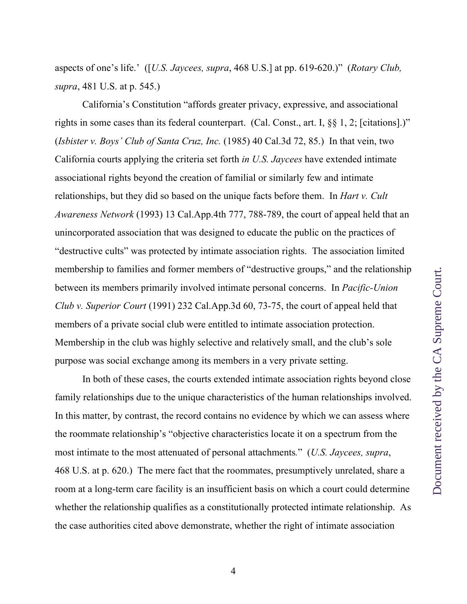California's Constitution "affords greater privacy, expressive, and associational rights in some cases than its federal counterpart. (Cal. Const., art. I, §§ 1, 2; [citations].)" (*Isbister v. Boys' Club of Santa Cruz, Inc.* (1985) 40 Cal.3d 72, 85.) In that vein, two California courts applying the criteria set forth *in U.S. Jaycees* have extended intimate associational rights beyond the creation of familial or similarly few and intimate relationships, but they did so based on the unique facts before them. In *Hart v. Cult Awareness Network* (1993) 13 Cal.App.4th 777, 788-789, the court of appeal held that an unincorporated association that was designed to educate the public on the practices of "destructive cults" was protected by intimate association rights. The association limited membership to families and former members of "destructive groups," and the relationship between its members primarily involved intimate personal concerns. In *Pacific-Union Club v. Superior Court* (1991) 232 Cal.App.3d 60, 73-75, the court of appeal held that members of a private social club were entitled to intimate association protection. Membership in the club was highly selective and relatively small, and the club's sole purpose was social exchange among its members in a very private setting.

In both of these cases, the courts extended intimate association rights beyond close family relationships due to the unique characteristics of the human relationships involved. In this matter, by contrast, the record contains no evidence by which we can assess where the roommate relationship's "objective characteristics locate it on a spectrum from the most intimate to the most attenuated of personal attachments*.*" (*U.S. Jaycees, supra*, 468 U.S. at p. 620.) The mere fact that the roommates, presumptively unrelated, share a room at a long-term care facility is an insufficient basis on which a court could determine whether the relationship qualifies as a constitutionally protected intimate relationship. As the case authorities cited above demonstrate, whether the right of intimate association

4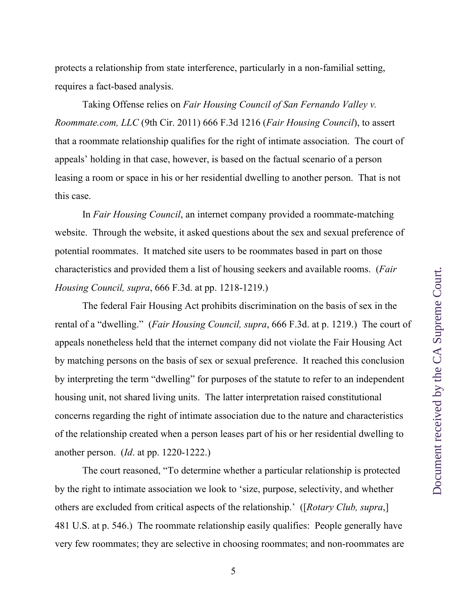protects a relationship from state interference, particularly in a non-familial setting, requires a fact-based analysis.

Taking Offense relies on *Fair Housing Council of San Fernando Valley v. Roommate.com, LLC* (9th Cir. 2011) 666 F.3d 1216 (*Fair Housing Council*), to assert that a roommate relationship qualifies for the right of intimate association. The court of appeals' holding in that case, however, is based on the factual scenario of a person leasing a room or space in his or her residential dwelling to another person. That is not this case.

In *Fair Housing Council*, an internet company provided a roommate-matching website. Through the website, it asked questions about the sex and sexual preference of potential roommates. It matched site users to be roommates based in part on those characteristics and provided them a list of housing seekers and available rooms. (*Fair Housing Council, supra*, 666 F.3d. at pp. 1218-1219.)

The federal Fair Housing Act prohibits discrimination on the basis of sex in the rental of a "dwelling." (*Fair Housing Council, supra*, 666 F.3d. at p. 1219.) The court of appeals nonetheless held that the internet company did not violate the Fair Housing Act by matching persons on the basis of sex or sexual preference. It reached this conclusion by interpreting the term "dwelling" for purposes of the statute to refer to an independent housing unit, not shared living units. The latter interpretation raised constitutional concerns regarding the right of intimate association due to the nature and characteristics of the relationship created when a person leases part of his or her residential dwelling to another person. (*Id*. at pp. 1220-1222.)

The court reasoned, "To determine whether a particular relationship is protected by the right to intimate association we look to 'size, purpose, selectivity, and whether others are excluded from critical aspects of the relationship.' ([*Rotary Club, supra*,] 481 U.S. at p. 546.) The roommate relationship easily qualifies: People generally have very few roommates; they are selective in choosing roommates; and non-roommates are

5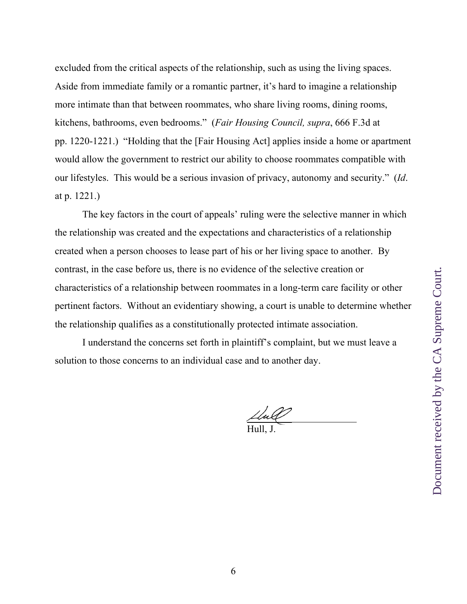excluded from the critical aspects of the relationship, such as using the living spaces. Aside from immediate family or a romantic partner, it's hard to imagine a relationship more intimate than that between roommates, who share living rooms, dining rooms, kitchens, bathrooms, even bedrooms." (*Fair Housing Council, supra*, 666 F.3d at pp. 1220-1221.) "Holding that the [Fair Housing Act] applies inside a home or apartment would allow the government to restrict our ability to choose roommates compatible with our lifestyles. This would be a serious invasion of privacy, autonomy and security." (*Id*. at p. 1221.)

The key factors in the court of appeals' ruling were the selective manner in which the relationship was created and the expectations and characteristics of a relationship created when a person chooses to lease part of his or her living space to another. By contrast, in the case before us, there is no evidence of the selective creation or characteristics of a relationship between roommates in a long-term care facility or other pertinent factors. Without an evidentiary showing, a court is unable to determine whether the relationship qualifies as a constitutionally protected intimate association.

I understand the concerns set forth in plaintiff's complaint, but we must leave a solution to those concerns to an individual case and to another day.

Hull, J.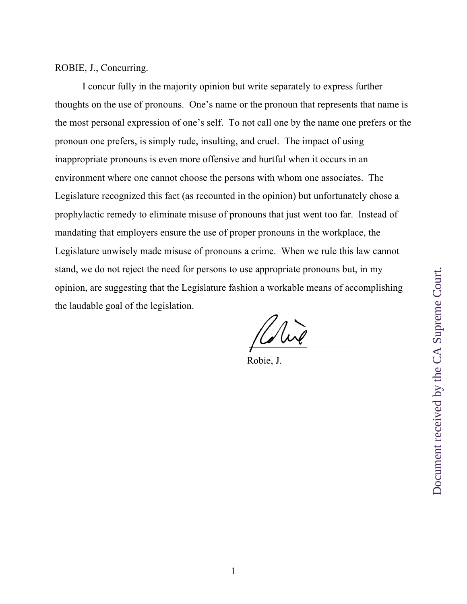ROBIE, J., Concurring.

I concur fully in the majority opinion but write separately to express further thoughts on the use of pronouns. One's name or the pronoun that represents that name is the most personal expression of one's self. To not call one by the name one prefers or the pronoun one prefers, is simply rude, insulting, and cruel. The impact of using inappropriate pronouns is even more offensive and hurtful when it occurs in an environment where one cannot choose the persons with whom one associates. The Legislature recognized this fact (as recounted in the opinion) but unfortunately chose a prophylactic remedy to eliminate misuse of pronouns that just went too far. Instead of mandating that employers ensure the use of proper pronouns in the workplace, the Legislature unwisely made misuse of pronouns a crime. When we rule this law cannot stand, we do not reject the need for persons to use appropriate pronouns but, in my opinion, are suggesting that the Legislature fashion a workable means of accomplishing the laudable goal of the legislation.

 $\overline{a}$  $\overline{a}$ 

Robie, J.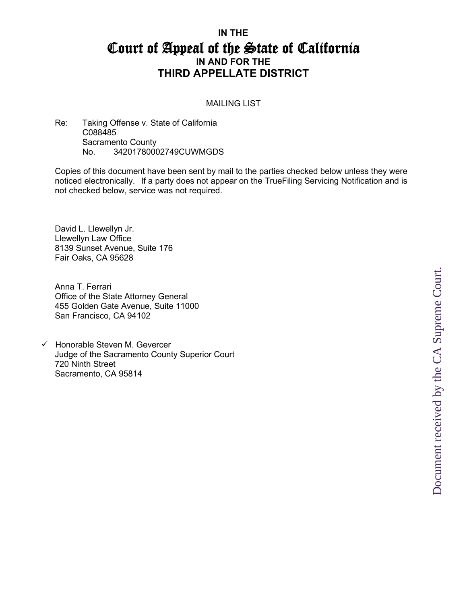## **IN THE**  Court of Appeal of the State of California **IN AND FOR THE THIRD APPELLATE DISTRICT**

## MAILING LIST

Re: Taking Offense v. State of California C088485 Sacramento County No. 34201780002749CUWMGDS

Copies of this document have been sent by mail to the parties checked below unless they were noticed electronically. If a party does not appear on the TrueFiling Servicing Notification and is not checked below, service was not required.

David L. Llewellyn Jr. Llewellyn Law Office 8139 Sunset Avenue, Suite 176 Fair Oaks, CA 95628

Anna T. Ferrari Office of the State Attorney General 455 Golden Gate Avenue, Suite 11000 San Francisco, CA 94102

 $\checkmark$  Honorable Steven M. Gevercer Judge of the Sacramento County Superior Court 720 Ninth Street Sacramento, CA 95814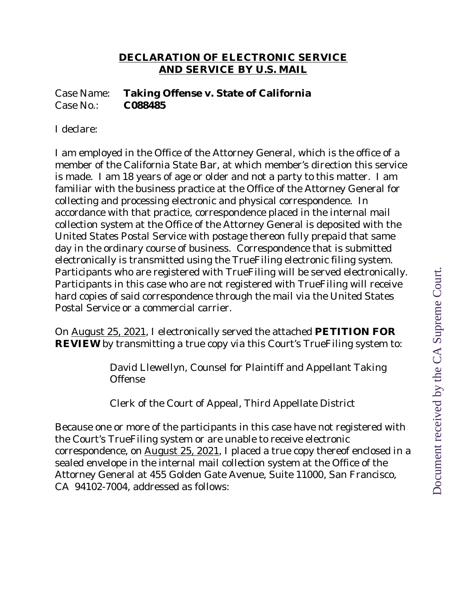## **DECLARATION OF ELECTRONIC SERVICE AND SERVICE BY U.S. MAIL**

Case Name: **Taking Offense v. State of California** Case No.: **C088485**

I declare:

I am employed in the Office of the Attorney General, which is the office of a member of the California State Bar, at which member's direction this service is made. I am 18 years of age or older and not a party to this matter. I am familiar with the business practice at the Office of the Attorney General for collecting and processing electronic and physical correspondence. In accordance with that practice, correspondence placed in the internal mail collection system at the Office of the Attorney General is deposited with the United States Postal Service with postage thereon fully prepaid that same day in the ordinary course of business. Correspondence that is submitted electronically is transmitted using the TrueFiling electronic filing system. Participants who are registered with TrueFiling will be served electronically. Participants in this case who are not registered with TrueFiling will receive hard copies of said correspondence through the mail via the United States Postal Service or a commercial carrier.

On August 25, 2021, I electronically served the attached **PETITION FOR REVIEW** by transmitting a true copy via this Court's TrueFiling system to:

> David Llewellyn, Counsel for Plaintiff and Appellant Taking Offense

Clerk of the Court of Appeal, Third Appellate District

Because one or more of the participants in this case have not registered with the Court's TrueFiling system or are unable to receive electronic correspondence, on August 25, 2021, I placed a true copy thereof enclosed in a sealed envelope in the internal mail collection system at the Office of the Attorney General at 455 Golden Gate Avenue, Suite 11000, San Francisco, CA 94102-7004, addressed as follows: